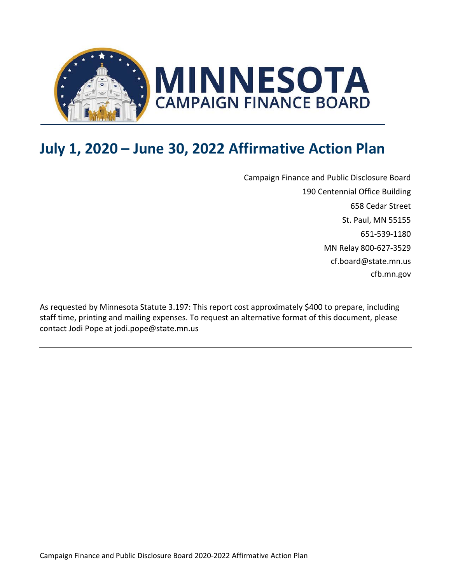

# **July 1, 2020 – June 30, 2022 Affirmative Action Plan**

Campaign Finance and Public Disclosure Board 190 Centennial Office Building 658 Cedar Street St. Paul, MN 55155 651-539-1180 MN Relay 800-627-3529 [cf.board@state.mn.us](mailto:email@state.mn.us) cfb.mn.gov

As requested by Minnesota Statute 3.197: This report cost approximately \$400 to prepare, including staff time, printing and mailing expenses. To request an alternative format of this document, please contact Jodi Pope at jodi.pope@state.mn.us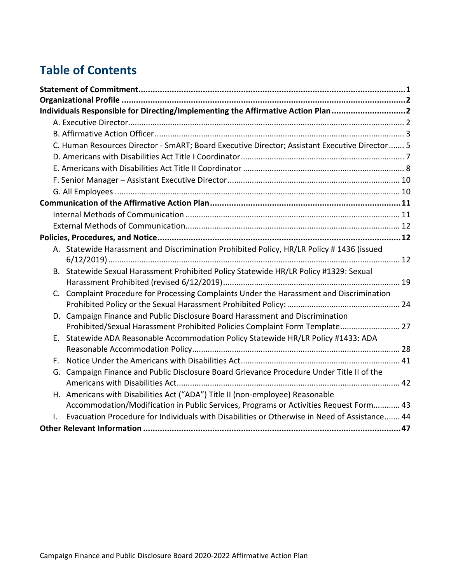# **Table of Contents**

|    | Individuals Responsible for Directing/Implementing the Affirmative Action Plan2                |  |
|----|------------------------------------------------------------------------------------------------|--|
|    |                                                                                                |  |
|    |                                                                                                |  |
|    | C. Human Resources Director - SmART; Board Executive Director; Assistant Executive Director  5 |  |
|    |                                                                                                |  |
|    |                                                                                                |  |
|    |                                                                                                |  |
|    |                                                                                                |  |
|    |                                                                                                |  |
|    |                                                                                                |  |
|    |                                                                                                |  |
|    |                                                                                                |  |
|    | A. Statewide Harassment and Discrimination Prohibited Policy, HR/LR Policy #1436 (issued       |  |
|    |                                                                                                |  |
|    | B. Statewide Sexual Harassment Prohibited Policy Statewide HR/LR Policy #1329: Sexual          |  |
|    |                                                                                                |  |
| C. | Complaint Procedure for Processing Complaints Under the Harassment and Discrimination          |  |
|    |                                                                                                |  |
|    | D. Campaign Finance and Public Disclosure Board Harassment and Discrimination                  |  |
|    | Prohibited/Sexual Harassment Prohibited Policies Complaint Form Template 27                    |  |
| Е. | Statewide ADA Reasonable Accommodation Policy Statewide HR/LR Policy #1433: ADA                |  |
|    |                                                                                                |  |
|    |                                                                                                |  |
| G. | Campaign Finance and Public Disclosure Board Grievance Procedure Under Title II of the         |  |
|    |                                                                                                |  |
|    | H. Americans with Disabilities Act ("ADA") Title II (non-employee) Reasonable                  |  |
|    | Accommodation/Modification in Public Services, Programs or Activities Request Form 43          |  |
|    | Evacuation Procedure for Individuals with Disabilities or Otherwise in Need of Assistance 44   |  |
|    |                                                                                                |  |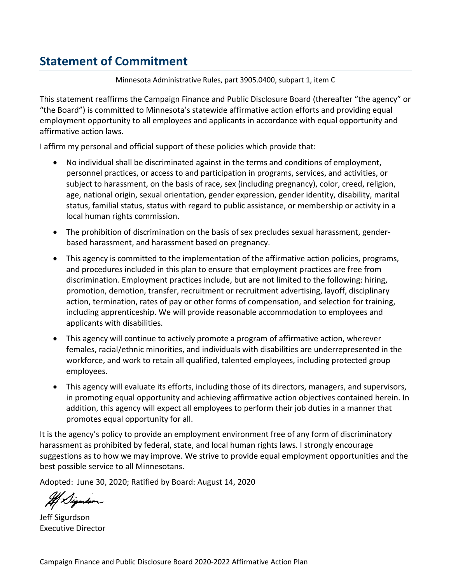# <span id="page-2-0"></span>**Statement of Commitment**

Minnesota Administrative Rules, part 3905.0400, subpart 1, item C

This statement reaffirms the Campaign Finance and Public Disclosure Board (thereafter "the agency" or "the Board") is committed to Minnesota's statewide affirmative action efforts and providing equal employment opportunity to all employees and applicants in accordance with equal opportunity and affirmative action laws.

I affirm my personal and official support of these policies which provide that:

- No individual shall be discriminated against in the terms and conditions of employment, personnel practices, or access to and participation in programs, services, and activities, or subject to harassment, on the basis of race, sex (including pregnancy), color, creed, religion, age, national origin, sexual orientation, gender expression, gender identity, disability, marital status, familial status, status with regard to public assistance, or membership or activity in a local human rights commission.
- The prohibition of discrimination on the basis of sex precludes sexual harassment, genderbased harassment, and harassment based on pregnancy.
- This agency is committed to the implementation of the affirmative action policies, programs, and procedures included in this plan to ensure that employment practices are free from discrimination. Employment practices include, but are not limited to the following: hiring, promotion, demotion, transfer, recruitment or recruitment advertising, layoff, disciplinary action, termination, rates of pay or other forms of compensation, and selection for training, including apprenticeship. We will provide reasonable accommodation to employees and applicants with disabilities.
- This agency will continue to actively promote a program of affirmative action, wherever females, racial/ethnic minorities, and individuals with disabilities are underrepresented in the workforce, and work to retain all qualified, talented employees, including protected group employees.
- This agency will evaluate its efforts, including those of its directors, managers, and supervisors, in promoting equal opportunity and achieving affirmative action objectives contained herein. In addition, this agency will expect all employees to perform their job duties in a manner that promotes equal opportunity for all.

It is the agency's policy to provide an employment environment free of any form of discriminatory harassment as prohibited by federal, state, and local human rights laws. I strongly encourage suggestions as to how we may improve. We strive to provide equal employment opportunities and the best possible service to all Minnesotans.

Adopted: June 30, 2020; Ratified by Board: August 14, 2020

Jeff Sigurdson Executive Director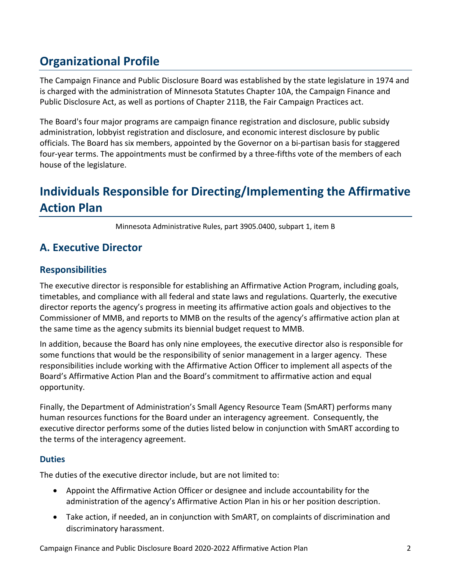# <span id="page-3-0"></span>**Organizational Profile**

The Campaign Finance and Public Disclosure Board was established by the state legislature in 1974 and is charged with the administration of Minnesota Statutes Chapter 10A, the Campaign Finance and Public Disclosure Act, as well as portions of Chapter 211B, the Fair Campaign Practices act.

The Board's four major programs are campaign finance registration and disclosure, public subsidy administration, lobbyist registration and disclosure, and economic interest disclosure by public officials. The Board has six members, appointed by the Governor on a bi-partisan basis for staggered four-year terms. The appointments must be confirmed by a three-fifths vote of the members of each house of the legislature.

# <span id="page-3-1"></span>**Individuals Responsible for Directing/Implementing the Affirmative Action Plan**

Minnesota Administrative Rules, part 3905.0400, subpart 1, item B

### <span id="page-3-2"></span>**A. Executive Director**

### **Responsibilities**

The executive director is responsible for establishing an Affirmative Action Program, including goals, timetables, and compliance with all federal and state laws and regulations. Quarterly, the executive director reports the agency's progress in meeting its affirmative action goals and objectives to the Commissioner of MMB, and reports to MMB on the results of the agency's affirmative action plan at the same time as the agency submits its biennial budget request to MMB.

In addition, because the Board has only nine employees, the executive director also is responsible for some functions that would be the responsibility of senior management in a larger agency. These responsibilities include working with the Affirmative Action Officer to implement all aspects of the Board's Affirmative Action Plan and the Board's commitment to affirmative action and equal opportunity.

Finally, the Department of Administration's Small Agency Resource Team (SmART) performs many human resources functions for the Board under an interagency agreement. Consequently, the executive director performs some of the duties listed below in conjunction with SmART according to the terms of the interagency agreement.

#### **Duties**

The duties of the executive director include, but are not limited to:

- Appoint the Affirmative Action Officer or designee and include accountability for the administration of the agency's Affirmative Action Plan in his or her position description.
- Take action, if needed, an in conjunction with SmART, on complaints of discrimination and discriminatory harassment.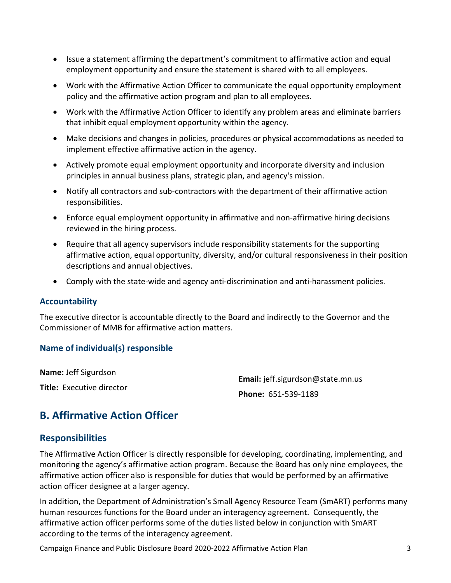- Issue a statement affirming the department's commitment to affirmative action and equal employment opportunity and ensure the statement is shared with to all employees.
- Work with the Affirmative Action Officer to communicate the equal opportunity employment policy and the affirmative action program and plan to all employees.
- Work with the Affirmative Action Officer to identify any problem areas and eliminate barriers that inhibit equal employment opportunity within the agency.
- Make decisions and changes in policies, procedures or physical accommodations as needed to implement effective affirmative action in the agency.
- Actively promote equal employment opportunity and incorporate diversity and inclusion principles in annual business plans, strategic plan, and agency's mission.
- Notify all contractors and sub-contractors with the department of their affirmative action responsibilities.
- Enforce equal employment opportunity in affirmative and non-affirmative hiring decisions reviewed in the hiring process.
- Require that all agency supervisors include responsibility statements for the supporting affirmative action, equal opportunity, diversity, and/or cultural responsiveness in their position descriptions and annual objectives.
- Comply with the state-wide and agency anti-discrimination and anti-harassment policies.

#### **Accountability**

The executive director is accountable directly to the Board and indirectly to the Governor and the Commissioner of MMB for affirmative action matters.

#### **Name of individual(s) responsible**

**Name:** Jeff Sigurdson **Title:** Executive director

**Email:** jeff.sigurdson@state.mn.us **Phone:** 651-539-1189

### <span id="page-4-0"></span>**B. Affirmative Action Officer**

#### **Responsibilities**

The Affirmative Action Officer is directly responsible for developing, coordinating, implementing, and monitoring the agency's affirmative action program. Because the Board has only nine employees, the affirmative action officer also is responsible for duties that would be performed by an affirmative action officer designee at a larger agency.

In addition, the Department of Administration's Small Agency Resource Team (SmART) performs many human resources functions for the Board under an interagency agreement. Consequently, the affirmative action officer performs some of the duties listed below in conjunction with SmART according to the terms of the interagency agreement.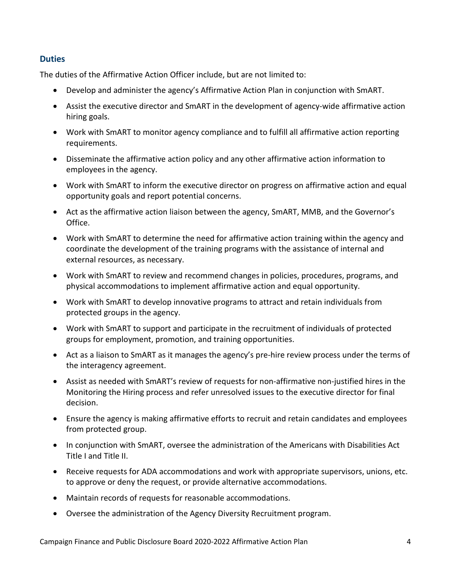#### **Duties**

The duties of the Affirmative Action Officer include, but are not limited to:

- Develop and administer the agency's Affirmative Action Plan in conjunction with SmART.
- Assist the executive director and SmART in the development of agency-wide affirmative action hiring goals.
- Work with SmART to monitor agency compliance and to fulfill all affirmative action reporting requirements.
- Disseminate the affirmative action policy and any other affirmative action information to employees in the agency.
- Work with SmART to inform the executive director on progress on affirmative action and equal opportunity goals and report potential concerns.
- Act as the affirmative action liaison between the agency, SmART, MMB, and the Governor's Office.
- Work with SmART to determine the need for affirmative action training within the agency and coordinate the development of the training programs with the assistance of internal and external resources, as necessary.
- Work with SmART to review and recommend changes in policies, procedures, programs, and physical accommodations to implement affirmative action and equal opportunity.
- Work with SmART to develop innovative programs to attract and retain individuals from protected groups in the agency.
- Work with SmART to support and participate in the recruitment of individuals of protected groups for employment, promotion, and training opportunities.
- Act as a liaison to SmART as it manages the agency's pre-hire review process under the terms of the interagency agreement.
- Assist as needed with SmART's review of requests for non-affirmative non-justified hires in the Monitoring the Hiring process and refer unresolved issues to the executive director for final decision.
- Ensure the agency is making affirmative efforts to recruit and retain candidates and employees from protected group.
- In conjunction with SmART, oversee the administration of the Americans with Disabilities Act Title I and Title II.
- Receive requests for ADA accommodations and work with appropriate supervisors, unions, etc. to approve or deny the request, or provide alternative accommodations.
- Maintain records of requests for reasonable accommodations.
- Oversee the administration of the Agency Diversity Recruitment program.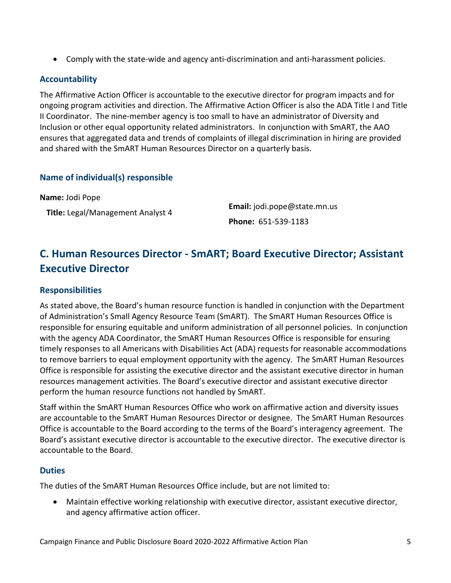• Comply with the state-wide and agency anti-discrimination and anti-harassment policies.

#### **Accountability**

The Affirmative Action Officer is accountable to the executive director for program impacts and for ongoing program activities and direction. The Affirmative Action Officer is also the ADA Title I and Title II Coordinator. The nine-member agency is too small to have an administrator of Diversity and Inclusion or other equal opportunity related administrators. In conjunction with SmART, the AAO ensures that aggregated data and trends of complaints of illegal discrimination in hiring are provided and shared with the SmART Human Resources Director on a quarterly basis.

#### **Name of individual(s) responsible**

**Name:** Jodi Pope

**Title:** Legal/Management Analyst 4 **Email:** jodi.pope@state.mn.us **Phone:** 651-539-1183

### <span id="page-6-0"></span>**C. Human Resources Director - SmART; Board Executive Director; Assistant Executive Director**

#### **Responsibilities**

As stated above, the Board's human resource function is handled in conjunction with the Department of Administration's Small Agency Resource Team (SmART). The SmART Human Resources Office is responsible for ensuring equitable and uniform administration of all personnel policies. In conjunction with the agency ADA Coordinator, the SmART Human Resources Office is responsible for ensuring timely responses to all Americans with Disabilities Act (ADA) requests for reasonable accommodations to remove barriers to equal employment opportunity with the agency. The SmART Human Resources Office is responsible for assisting the executive director and the assistant executive director in human resources management activities. The Board's executive director and assistant executive director perform the human resource functions not handled by SmART.

Staff within the SmART Human Resources Office who work on affirmative action and diversity issues are accountable to the SmART Human Resources Director or designee. The SmART Human Resources Office is accountable to the Board according to the terms of the Board's interagency agreement. The Board's assistant executive director is accountable to the executive director. The executive director is accountable to the Board.

#### **Duties**

The duties of the SmART Human Resources Office include, but are not limited to:

• Maintain effective working relationship with executive director, assistant executive director, and agency affirmative action officer.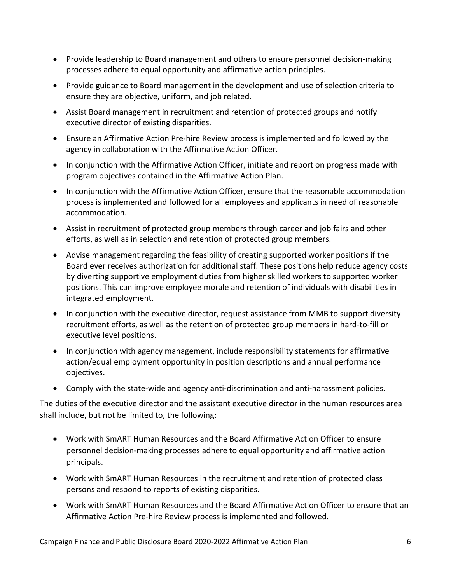- Provide leadership to Board management and others to ensure personnel decision-making processes adhere to equal opportunity and affirmative action principles.
- Provide guidance to Board management in the development and use of selection criteria to ensure they are objective, uniform, and job related.
- Assist Board management in recruitment and retention of protected groups and notify executive director of existing disparities.
- Ensure an Affirmative Action Pre-hire Review process is implemented and followed by the agency in collaboration with the Affirmative Action Officer.
- In conjunction with the Affirmative Action Officer, initiate and report on progress made with program objectives contained in the Affirmative Action Plan.
- In conjunction with the Affirmative Action Officer, ensure that the reasonable accommodation process is implemented and followed for all employees and applicants in need of reasonable accommodation.
- Assist in recruitment of protected group members through career and job fairs and other efforts, as well as in selection and retention of protected group members.
- Advise management regarding the feasibility of creating supported worker positions if the Board ever receives authorization for additional staff. These positions help reduce agency costs by diverting supportive employment duties from higher skilled workers to supported worker positions. This can improve employee morale and retention of individuals with disabilities in integrated employment.
- In conjunction with the executive director, request assistance from MMB to support diversity recruitment efforts, as well as the retention of protected group members in hard-to-fill or executive level positions.
- In conjunction with agency management, include responsibility statements for affirmative action/equal employment opportunity in position descriptions and annual performance objectives.
- Comply with the state-wide and agency anti-discrimination and anti-harassment policies.

The duties of the executive director and the assistant executive director in the human resources area shall include, but not be limited to, the following:

- Work with SmART Human Resources and the Board Affirmative Action Officer to ensure personnel decision-making processes adhere to equal opportunity and affirmative action principals.
- Work with SmART Human Resources in the recruitment and retention of protected class persons and respond to reports of existing disparities.
- Work with SmART Human Resources and the Board Affirmative Action Officer to ensure that an Affirmative Action Pre-hire Review process is implemented and followed.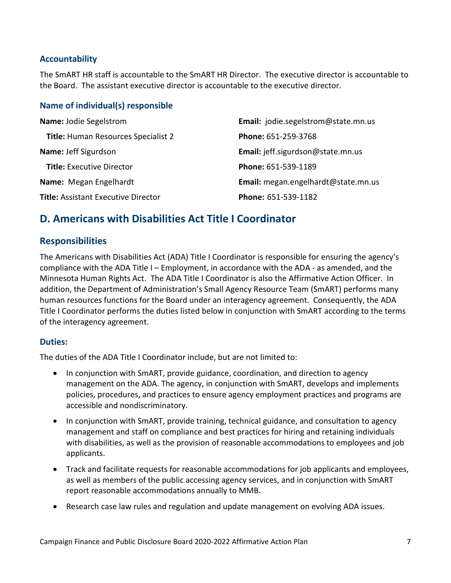#### **Accountability**

The SmART HR staff is accountable to the SmART HR Director. The executive director is accountable to the Board. The assistant executive director is accountable to the executive director.

#### **Name of individual(s) responsible**

| <b>Name: Jodie Segelstrom</b>              | Email: jodie.segelstrom@state.mn.us |
|--------------------------------------------|-------------------------------------|
| <b>Title: Human Resources Specialist 2</b> | Phone: 651-259-3768                 |
| Name: Jeff Sigurdson                       | Email: jeff.sigurdson@state.mn.us   |
| <b>Title:</b> Executive Director           | Phone: 651-539-1189                 |
| Name: Megan Engelhardt                     | Email: megan.engelhardt@state.mn.us |
| <b>Title: Assistant Executive Director</b> | Phone: 651-539-1182                 |

### <span id="page-8-0"></span>**D. Americans with Disabilities Act Title I Coordinator**

#### **Responsibilities**

The Americans with Disabilities Act (ADA) Title I Coordinator is responsible for ensuring the agency's compliance with the ADA Title I – Employment, in accordance with the ADA - as amended, and the Minnesota Human Rights Act. The ADA Title I Coordinator is also the Affirmative Action Officer. In addition, the Department of Administration's Small Agency Resource Team (SmART) performs many human resources functions for the Board under an interagency agreement. Consequently, the ADA Title I Coordinator performs the duties listed below in conjunction with SmART according to the terms of the interagency agreement.

#### **Duties:**

The duties of the ADA Title I Coordinator include, but are not limited to:

- In conjunction with SmART, provide guidance, coordination, and direction to agency management on the ADA. The agency, in conjunction with SmART, develops and implements policies, procedures, and practices to ensure agency employment practices and programs are accessible and nondiscriminatory.
- In conjunction with SmART, provide training, technical guidance, and consultation to agency management and staff on compliance and best practices for hiring and retaining individuals with disabilities, as well as the provision of reasonable accommodations to employees and job applicants.
- Track and facilitate requests for reasonable accommodations for job applicants and employees, as well as members of the public accessing agency services, and in conjunction with SmART report reasonable accommodations annually to MMB.
- Research case law rules and regulation and update management on evolving ADA issues.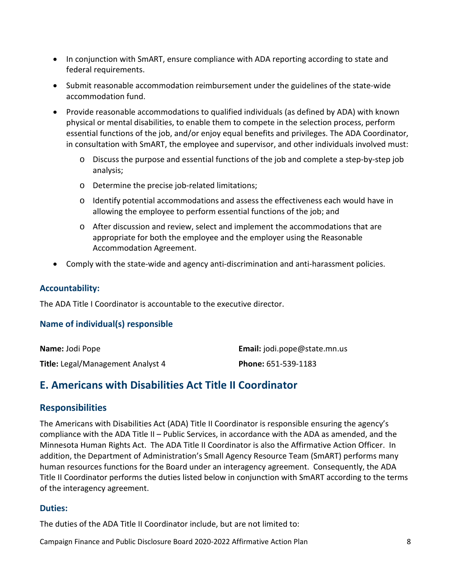- In conjunction with SmART, ensure compliance with ADA reporting according to state and federal requirements.
- Submit reasonable accommodation reimbursement under the guidelines of the state-wide accommodation fund.
- Provide reasonable accommodations to qualified individuals (as defined by ADA) with known physical or mental disabilities, to enable them to compete in the selection process, perform essential functions of the job, and/or enjoy equal benefits and privileges. The ADA Coordinator, in consultation with SmART, the employee and supervisor, and other individuals involved must:
	- o Discuss the purpose and essential functions of the job and complete a step-by-step job analysis;
	- o Determine the precise job-related limitations;
	- o Identify potential accommodations and assess the effectiveness each would have in allowing the employee to perform essential functions of the job; and
	- o After discussion and review, select and implement the accommodations that are appropriate for both the employee and the employer using the Reasonable Accommodation Agreement.
- Comply with the state-wide and agency anti-discrimination and anti-harassment policies.

#### **Accountability:**

The ADA Title I Coordinator is accountable to the executive director.

#### **Name of individual(s) responsible**

| <b>Name: Jodi Pope</b>            | <b>Email:</b> jodi.pope@state.mn.us |
|-----------------------------------|-------------------------------------|
| Title: Legal/Management Analyst 4 | Phone: 651-539-1183                 |

### <span id="page-9-0"></span>**E. Americans with Disabilities Act Title II Coordinator**

#### **Responsibilities**

The Americans with Disabilities Act (ADA) Title II Coordinator is responsible ensuring the agency's compliance with the ADA Title II – Public Services, in accordance with the ADA as amended, and the Minnesota Human Rights Act. The ADA Title II Coordinator is also the Affirmative Action Officer. In addition, the Department of Administration's Small Agency Resource Team (SmART) performs many human resources functions for the Board under an interagency agreement. Consequently, the ADA Title II Coordinator performs the duties listed below in conjunction with SmART according to the terms of the interagency agreement.

#### **Duties:**

The duties of the ADA Title II Coordinator include, but are not limited to: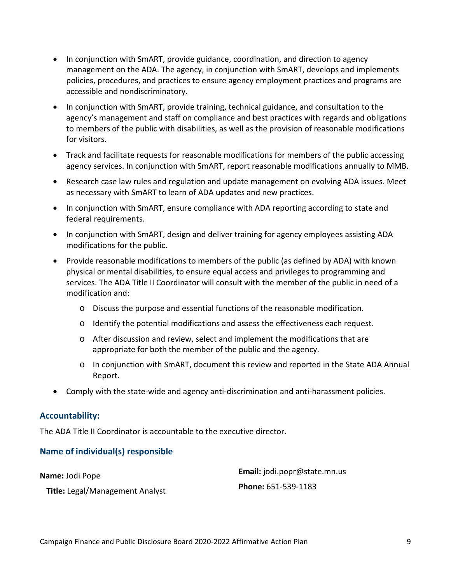- In conjunction with SmART, provide guidance, coordination, and direction to agency management on the ADA. The agency, in conjunction with SmART, develops and implements policies, procedures, and practices to ensure agency employment practices and programs are accessible and nondiscriminatory.
- In conjunction with SmART, provide training, technical guidance, and consultation to the agency's management and staff on compliance and best practices with regards and obligations to members of the public with disabilities, as well as the provision of reasonable modifications for visitors.
- Track and facilitate requests for reasonable modifications for members of the public accessing agency services. In conjunction with SmART, report reasonable modifications annually to MMB.
- Research case law rules and regulation and update management on evolving ADA issues. Meet as necessary with SmART to learn of ADA updates and new practices.
- In conjunction with SmART, ensure compliance with ADA reporting according to state and federal requirements.
- In conjunction with SmART, design and deliver training for agency employees assisting ADA modifications for the public.
- Provide reasonable modifications to members of the public (as defined by ADA) with known physical or mental disabilities, to ensure equal access and privileges to programming and services. The ADA Title II Coordinator will consult with the member of the public in need of a modification and:
	- o Discuss the purpose and essential functions of the reasonable modification.
	- o Identify the potential modifications and assess the effectiveness each request.
	- o After discussion and review, select and implement the modifications that are appropriate for both the member of the public and the agency.
	- o In conjunction with SmART, document this review and reported in the State ADA Annual Report.
- Comply with the state-wide and agency anti-discrimination and anti-harassment policies.

#### **Accountability:**

The ADA Title II Coordinator is accountable to the executive director**.**

#### **Name of individual(s) responsible**

**Name:** Jodi Pope

**Email:** jodi.popr@state.mn.us **Phone:** 651-539-1183

**Title:** Legal/Management Analyst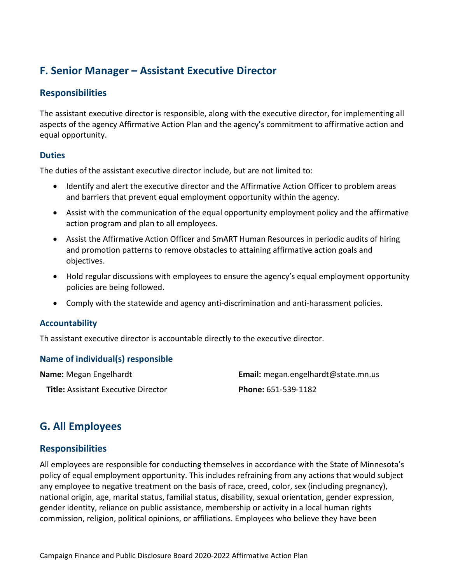### <span id="page-11-0"></span>**F. Senior Manager – Assistant Executive Director**

### **Responsibilities**

The assistant executive director is responsible, along with the executive director, for implementing all aspects of the agency Affirmative Action Plan and the agency's commitment to affirmative action and equal opportunity.

#### **Duties**

The duties of the assistant executive director include, but are not limited to:

- Identify and alert the executive director and the Affirmative Action Officer to problem areas and barriers that prevent equal employment opportunity within the agency.
- Assist with the communication of the equal opportunity employment policy and the affirmative action program and plan to all employees.
- Assist the Affirmative Action Officer and SmART Human Resources in periodic audits of hiring and promotion patterns to remove obstacles to attaining affirmative action goals and objectives.
- Hold regular discussions with employees to ensure the agency's equal employment opportunity policies are being followed.
- Comply with the statewide and agency anti-discrimination and anti-harassment policies.

#### **Accountability**

Th assistant executive director is accountable directly to the executive director.

#### **Name of individual(s) responsible**

**Name:** Megan Engelhardt

**Title:** Assistant Executive Director

**Email:** megan.engelhardt@state.mn.us **Phone:** 651-539-1182

### <span id="page-11-1"></span>**G. All Employees**

#### **Responsibilities**

All employees are responsible for conducting themselves in accordance with the State of Minnesota's policy of equal employment opportunity. This includes refraining from any actions that would subject any employee to negative treatment on the basis of race, creed, color, sex (including pregnancy), national origin, age, marital status, familial status, disability, sexual orientation, gender expression, gender identity, reliance on public assistance, membership or activity in a local human rights commission, religion, political opinions, or affiliations. Employees who believe they have been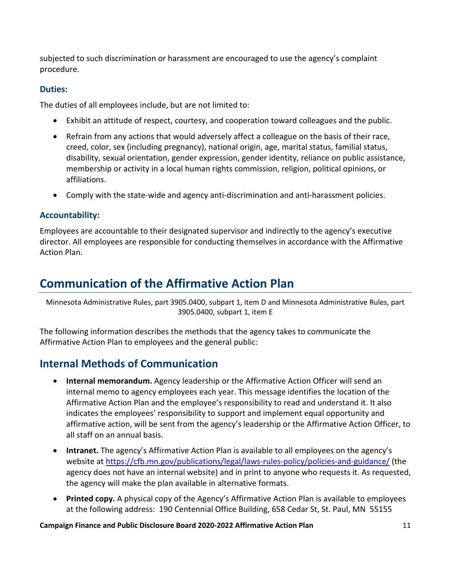subjected to such discrimination or harassment are encouraged to use the agency's complaint procedure.

#### **Duties:**

The duties of all employees include, but are not limited to:

- Exhibit an attitude of respect, courtesy, and cooperation toward colleagues and the public.
- Refrain from any actions that would adversely affect a colleague on the basis of their race, creed, color, sex (including pregnancy), national origin, age, marital status, familial status, disability, sexual orientation, gender expression, gender identity, reliance on public assistance, membership or activity in a local human rights commission, religion, political opinions, or affiliations.
- Comply with the state-wide and agency anti-discrimination and anti-harassment policies.

#### **Accountability:**

Employees are accountable to their designated supervisor and indirectly to the agency's executive director. All employees are responsible for conducting themselves in accordance with the Affirmative Action Plan.

# <span id="page-12-0"></span>**Communication of the Affirmative Action Plan**

Minnesota Administrative Rules, part 3905.0400, subpart 1, item D and Minnesota Administrative Rules, part 3905.0400, subpart 1, item E

The following information describes the methods that the agency takes to communicate the Affirmative Action Plan to employees and the general public:

### <span id="page-12-1"></span>**Internal Methods of Communication**

- **Internal memorandum.** Agency leadership or the Affirmative Action Officer will send an internal memo to agency employees each year. This message identifies the location of the Affirmative Action Plan and the employee's responsibility to read and understand it. It also indicates the employees' responsibility to support and implement equal opportunity and affirmative action, will be sent from the agency's leadership or the Affirmative Action Officer, to all staff on an annual basis.
- **Intranet.** The agency's Affirmative Action Plan is available to all employees on the agency's website at <https://cfb.mn.gov/publications/legal/laws-rules-policy/policies-and-guidance/> (the agency does not have an internal website) and in print to anyone who requests it. As requested, the agency will make the plan available in alternative formats.
- **Printed copy.** A physical copy of the Agency's Affirmative Action Plan is available to employees at the following address: 190 Centennial Office Building, 658 Cedar St, St. Paul, MN 55155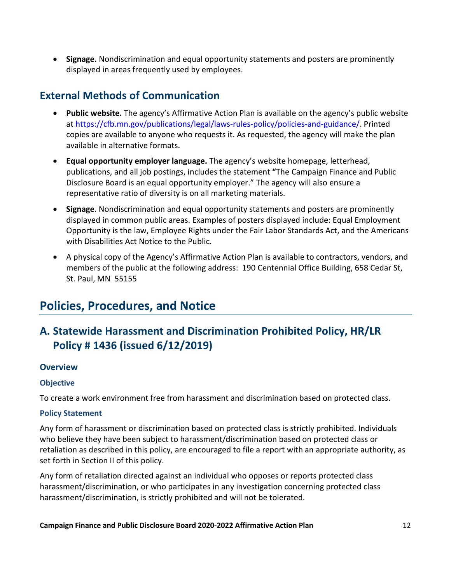• **Signage.** Nondiscrimination and equal opportunity statements and posters are prominently displayed in areas frequently used by employees.

### <span id="page-13-0"></span>**External Methods of Communication**

- **Public website.** The agency's Affirmative Action Plan is available on the agency's public website at [https://cfb.mn.gov/publications/legal/laws-rules-policy/policies-and-guidance/.](https://cfb.mn.gov/publications/legal/laws-rules-policy/policies-and-guidance/) Printed copies are available to anyone who requests it. As requested, the agency will make the plan available in alternative formats.
- **Equal opportunity employer language.** The agency's website homepage, letterhead, publications, and all job postings, includes the statement **"**The Campaign Finance and Public Disclosure Board is an equal opportunity employer." The agency will also ensure a representative ratio of diversity is on all marketing materials.
- **Signage**. Nondiscrimination and equal opportunity statements and posters are prominently displayed in common public areas. Examples of posters displayed include: Equal Employment Opportunity is the law, Employee Rights under the Fair Labor Standards Act, and the Americans with Disabilities Act Notice to the Public.
- A physical copy of the Agency's Affirmative Action Plan is available to contractors, vendors, and members of the public at the following address: 190 Centennial Office Building, 658 Cedar St, St. Paul, MN 55155

# <span id="page-13-1"></span>**Policies, Procedures, and Notice**

## <span id="page-13-2"></span>**A. Statewide Harassment and Discrimination Prohibited Policy, HR/LR Policy # 1436 (issued 6/12/2019)**

#### **Overview**

#### **Objective**

To create a work environment free from harassment and discrimination based on protected class.

#### **Policy Statement**

Any form of harassment or discrimination based on protected class is strictly prohibited. Individuals who believe they have been subject to harassment/discrimination based on protected class or retaliation as described in this policy, are encouraged to file a report with an appropriate authority, as set forth in Section II of this policy.

Any form of retaliation directed against an individual who opposes or reports protected class harassment/discrimination, or who participates in any investigation concerning protected class harassment/discrimination, is strictly prohibited and will not be tolerated.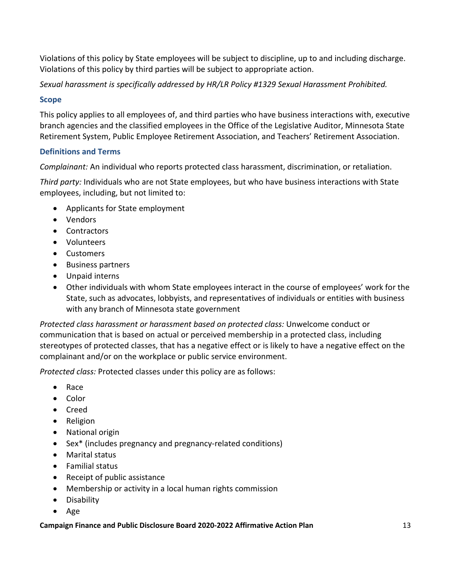Violations of this policy by State employees will be subject to discipline, up to and including discharge. Violations of this policy by third parties will be subject to appropriate action.

*Sexual harassment is specifically addressed by HR/LR Policy #1329 Sexual Harassment Prohibited.*

#### **Scope**

This policy applies to all employees of, and third parties who have business interactions with, executive branch agencies and the classified employees in the Office of the Legislative Auditor, Minnesota State Retirement System, Public Employee Retirement Association, and Teachers' Retirement Association.

#### **Definitions and Terms**

*Complainant:* An individual who reports protected class harassment, discrimination, or retaliation.

*Third party:* Individuals who are not State employees, but who have business interactions with State employees, including, but not limited to:

- Applicants for State employment
- Vendors
- Contractors
- Volunteers
- Customers
- Business partners
- Unpaid interns
- Other individuals with whom State employees interact in the course of employees' work for the State, such as advocates, lobbyists, and representatives of individuals or entities with business with any branch of Minnesota state government

*Protected class harassment or harassment based on protected class:* Unwelcome conduct or communication that is based on actual or perceived membership in a protected class, including stereotypes of protected classes, that has a negative effect or is likely to have a negative effect on the complainant and/or on the workplace or public service environment.

*Protected class:* Protected classes under this policy are as follows:

- Race
- Color
- Creed
- Religion
- National origin
- Sex\* (includes pregnancy and pregnancy-related conditions)
- Marital status
- Familial status
- Receipt of public assistance
- Membership or activity in a local human rights commission
- Disability
- Age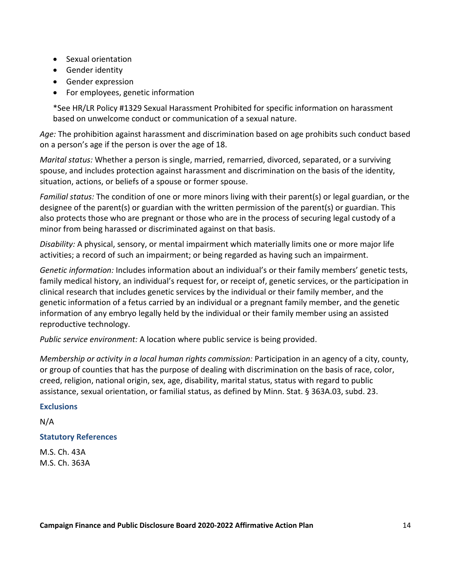- Sexual orientation
- Gender identity
- Gender expression
- For employees, genetic information

\*See HR/LR Policy #1329 Sexual Harassment Prohibited for specific information on harassment based on unwelcome conduct or communication of a sexual nature.

*Age:* The prohibition against harassment and discrimination based on age prohibits such conduct based on a person's age if the person is over the age of 18.

*Marital status:* Whether a person is single, married, remarried, divorced, separated, or a surviving spouse, and includes protection against harassment and discrimination on the basis of the identity, situation, actions, or beliefs of a spouse or former spouse.

*Familial status:* The condition of one or more minors living with their parent(s) or legal guardian, or the designee of the parent(s) or guardian with the written permission of the parent(s) or guardian. This also protects those who are pregnant or those who are in the process of securing legal custody of a minor from being harassed or discriminated against on that basis.

*Disability:* A physical, sensory, or mental impairment which materially limits one or more major life activities; a record of such an impairment; or being regarded as having such an impairment.

*Genetic information:* Includes information about an individual's or their family members' genetic tests, family medical history, an individual's request for, or receipt of, genetic services, or the participation in clinical research that includes genetic services by the individual or their family member, and the genetic information of a fetus carried by an individual or a pregnant family member, and the genetic information of any embryo legally held by the individual or their family member using an assisted reproductive technology.

*Public service environment:* A location where public service is being provided.

*Membership or activity in a local human rights commission:* Participation in an agency of a city, county, or group of counties that has the purpose of dealing with discrimination on the basis of race, color, creed, religion, national origin, sex, age, disability, marital status, status with regard to public assistance, sexual orientation, or familial status, as defined by Minn. Stat. § 363A.03, subd. 23.

#### **Exclusions**

N/A

#### **Statutory References**

M.S. Ch. 43A M.S. Ch. 363A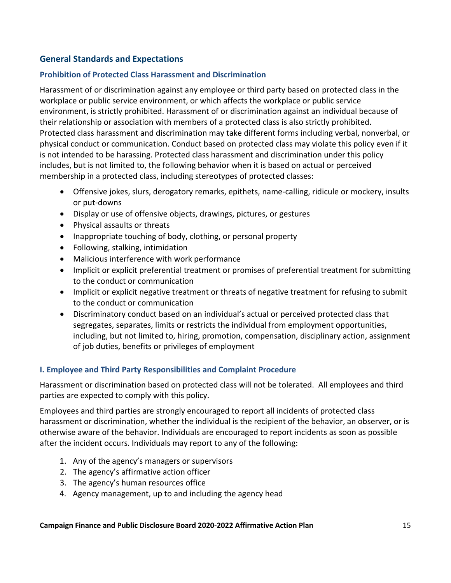#### **General Standards and Expectations**

#### **Prohibition of Protected Class Harassment and Discrimination**

Harassment of or discrimination against any employee or third party based on protected class in the workplace or public service environment, or which affects the workplace or public service environment, is strictly prohibited. Harassment of or discrimination against an individual because of their relationship or association with members of a protected class is also strictly prohibited. Protected class harassment and discrimination may take different forms including verbal, nonverbal, or physical conduct or communication. Conduct based on protected class may violate this policy even if it is not intended to be harassing. Protected class harassment and discrimination under this policy includes, but is not limited to, the following behavior when it is based on actual or perceived membership in a protected class, including stereotypes of protected classes:

- Offensive jokes, slurs, derogatory remarks, epithets, name-calling, ridicule or mockery, insults or put-downs
- Display or use of offensive objects, drawings, pictures, or gestures
- Physical assaults or threats
- Inappropriate touching of body, clothing, or personal property
- Following, stalking, intimidation
- Malicious interference with work performance
- Implicit or explicit preferential treatment or promises of preferential treatment for submitting to the conduct or communication
- Implicit or explicit negative treatment or threats of negative treatment for refusing to submit to the conduct or communication
- Discriminatory conduct based on an individual's actual or perceived protected class that segregates, separates, limits or restricts the individual from employment opportunities, including, but not limited to, hiring, promotion, compensation, disciplinary action, assignment of job duties, benefits or privileges of employment

#### **I. Employee and Third Party Responsibilities and Complaint Procedure**

Harassment or discrimination based on protected class will not be tolerated. All employees and third parties are expected to comply with this policy.

Employees and third parties are strongly encouraged to report all incidents of protected class harassment or discrimination, whether the individual is the recipient of the behavior, an observer, or is otherwise aware of the behavior. Individuals are encouraged to report incidents as soon as possible after the incident occurs. Individuals may report to any of the following:

- 1. Any of the agency's managers or supervisors
- 2. The agency's affirmative action officer
- 3. The agency's human resources office
- 4. Agency management, up to and including the agency head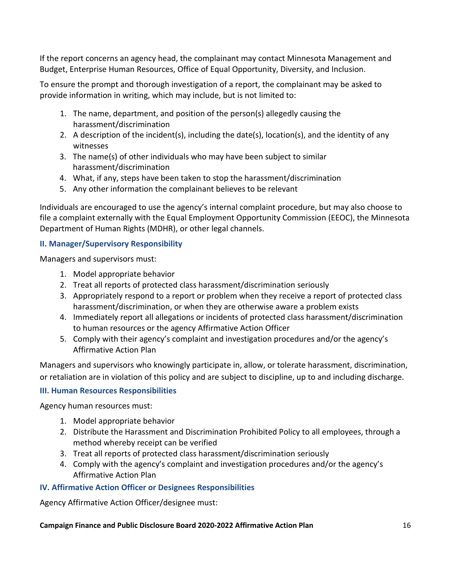If the report concerns an agency head, the complainant may contact Minnesota Management and Budget, Enterprise Human Resources, Office of Equal Opportunity, Diversity, and Inclusion.

To ensure the prompt and thorough investigation of a report, the complainant may be asked to provide information in writing, which may include, but is not limited to:

- 1. The name, department, and position of the person(s) allegedly causing the harassment/discrimination
- 2. A description of the incident(s), including the date(s), location(s), and the identity of any witnesses
- 3. The name(s) of other individuals who may have been subject to similar harassment/discrimination
- 4. What, if any, steps have been taken to stop the harassment/discrimination
- 5. Any other information the complainant believes to be relevant

Individuals are encouraged to use the agency's internal complaint procedure, but may also choose to file a complaint externally with the Equal Employment Opportunity Commission (EEOC), the Minnesota Department of Human Rights (MDHR), or other legal channels.

#### **II. Manager/Supervisory Responsibility**

Managers and supervisors must:

- 1. Model appropriate behavior
- 2. Treat all reports of protected class harassment/discrimination seriously
- 3. Appropriately respond to a report or problem when they receive a report of protected class harassment/discrimination, or when they are otherwise aware a problem exists
- 4. Immediately report all allegations or incidents of protected class harassment/discrimination to human resources or the agency Affirmative Action Officer
- 5. Comply with their agency's complaint and investigation procedures and/or the agency's Affirmative Action Plan

Managers and supervisors who knowingly participate in, allow, or tolerate harassment, discrimination, or retaliation are in violation of this policy and are subject to discipline, up to and including discharge.

#### **III. Human Resources Responsibilities**

Agency human resources must:

- 1. Model appropriate behavior
- 2. Distribute the Harassment and Discrimination Prohibited Policy to all employees, through a method whereby receipt can be verified
- 3. Treat all reports of protected class harassment/discrimination seriously
- 4. Comply with the agency's complaint and investigation procedures and/or the agency's Affirmative Action Plan

#### **IV. Affirmative Action Officer or Designees Responsibilities**

Agency Affirmative Action Officer/designee must: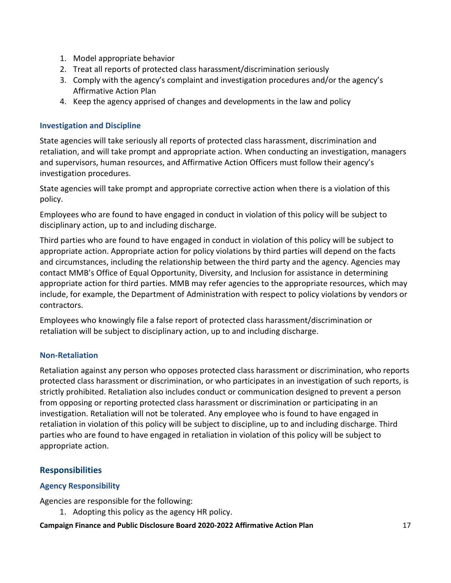- 1. Model appropriate behavior
- 2. Treat all reports of protected class harassment/discrimination seriously
- 3. Comply with the agency's complaint and investigation procedures and/or the agency's Affirmative Action Plan
- 4. Keep the agency apprised of changes and developments in the law and policy

#### **Investigation and Discipline**

State agencies will take seriously all reports of protected class harassment, discrimination and retaliation, and will take prompt and appropriate action. When conducting an investigation, managers and supervisors, human resources, and Affirmative Action Officers must follow their agency's investigation procedures.

State agencies will take prompt and appropriate corrective action when there is a violation of this policy.

Employees who are found to have engaged in conduct in violation of this policy will be subject to disciplinary action, up to and including discharge.

Third parties who are found to have engaged in conduct in violation of this policy will be subject to appropriate action. Appropriate action for policy violations by third parties will depend on the facts and circumstances, including the relationship between the third party and the agency. Agencies may contact MMB's Office of Equal Opportunity, Diversity, and Inclusion for assistance in determining appropriate action for third parties. MMB may refer agencies to the appropriate resources, which may include, for example, the Department of Administration with respect to policy violations by vendors or contractors.

Employees who knowingly file a false report of protected class harassment/discrimination or retaliation will be subject to disciplinary action, up to and including discharge.

#### **Non-Retaliation**

Retaliation against any person who opposes protected class harassment or discrimination, who reports protected class harassment or discrimination, or who participates in an investigation of such reports, is strictly prohibited. Retaliation also includes conduct or communication designed to prevent a person from opposing or reporting protected class harassment or discrimination or participating in an investigation. Retaliation will not be tolerated. Any employee who is found to have engaged in retaliation in violation of this policy will be subject to discipline, up to and including discharge. Third parties who are found to have engaged in retaliation in violation of this policy will be subject to appropriate action.

### **Responsibilities**

#### **Agency Responsibility**

Agencies are responsible for the following:

1. Adopting this policy as the agency HR policy.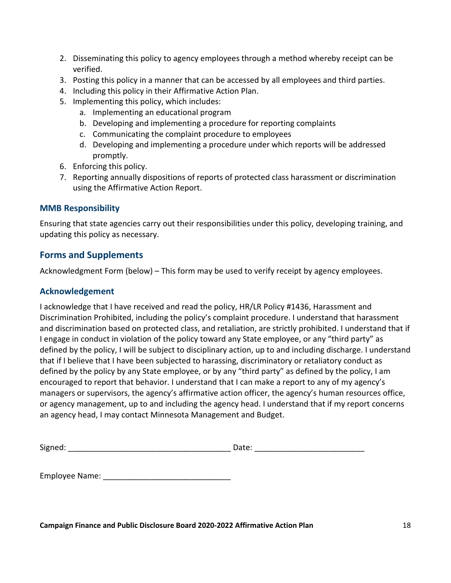- 2. Disseminating this policy to agency employees through a method whereby receipt can be verified.
- 3. Posting this policy in a manner that can be accessed by all employees and third parties.
- 4. Including this policy in their Affirmative Action Plan.
- 5. Implementing this policy, which includes:
	- a. Implementing an educational program
	- b. Developing and implementing a procedure for reporting complaints
	- c. Communicating the complaint procedure to employees
	- d. Developing and implementing a procedure under which reports will be addressed promptly.
- 6. Enforcing this policy.
- 7. Reporting annually dispositions of reports of protected class harassment or discrimination using the Affirmative Action Report.

#### **MMB Responsibility**

Ensuring that state agencies carry out their responsibilities under this policy, developing training, and updating this policy as necessary.

#### **Forms and Supplements**

Acknowledgment Form (below) – This form may be used to verify receipt by agency employees.

#### **Acknowledgement**

I acknowledge that I have received and read the policy, HR/LR Policy #1436, Harassment and Discrimination Prohibited, including the policy's complaint procedure. I understand that harassment and discrimination based on protected class, and retaliation, are strictly prohibited. I understand that if I engage in conduct in violation of the policy toward any State employee, or any "third party" as defined by the policy, I will be subject to disciplinary action, up to and including discharge. I understand that if I believe that I have been subjected to harassing, discriminatory or retaliatory conduct as defined by the policy by any State employee, or by any "third party" as defined by the policy, I am encouraged to report that behavior. I understand that I can make a report to any of my agency's managers or supervisors, the agency's affirmative action officer, the agency's human resources office, or agency management, up to and including the agency head. I understand that if my report concerns an agency head, I may contact Minnesota Management and Budget.

| --<br>Αاכ | È |
|-----------|---|
|-----------|---|

Employee Name: \_\_\_\_\_\_\_\_\_\_\_\_\_\_\_\_\_\_\_\_\_\_\_\_\_\_\_\_\_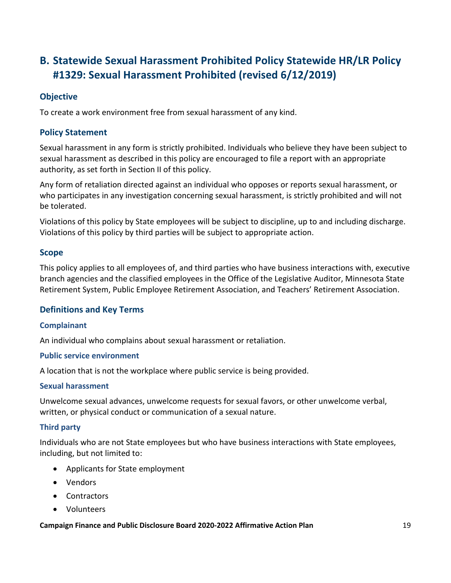## <span id="page-20-0"></span>**B. Statewide Sexual Harassment Prohibited Policy Statewide HR/LR Policy #1329: Sexual Harassment Prohibited (revised 6/12/2019)**

#### **Objective**

To create a work environment free from sexual harassment of any kind.

#### **Policy Statement**

Sexual harassment in any form is strictly prohibited. Individuals who believe they have been subject to sexual harassment as described in this policy are encouraged to file a report with an appropriate authority, as set forth in Section II of this policy.

Any form of retaliation directed against an individual who opposes or reports sexual harassment, or who participates in any investigation concerning sexual harassment, is strictly prohibited and will not be tolerated.

Violations of this policy by State employees will be subject to discipline, up to and including discharge. Violations of this policy by third parties will be subject to appropriate action.

#### **Scope**

This policy applies to all employees of, and third parties who have business interactions with, executive branch agencies and the classified employees in the Office of the Legislative Auditor, Minnesota State Retirement System, Public Employee Retirement Association, and Teachers' Retirement Association.

#### **Definitions and Key Terms**

#### **Complainant**

An individual who complains about sexual harassment or retaliation.

#### **Public service environment**

A location that is not the workplace where public service is being provided.

#### **Sexual harassment**

Unwelcome sexual advances, unwelcome requests for sexual favors, or other unwelcome verbal, written, or physical conduct or communication of a sexual nature.

#### **Third party**

Individuals who are not State employees but who have business interactions with State employees, including, but not limited to:

- Applicants for State employment
- Vendors
- Contractors
- Volunteers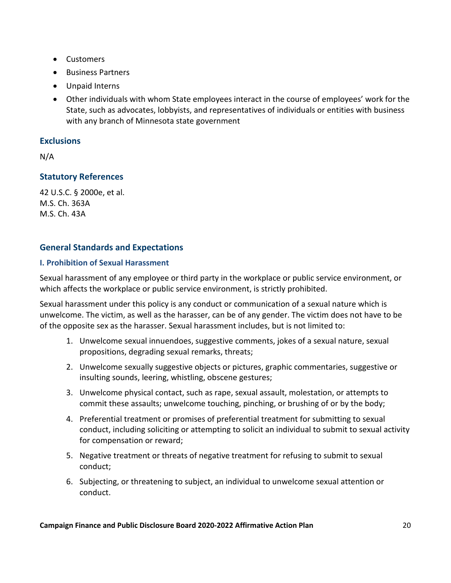- Customers
- Business Partners
- Unpaid Interns
- Other individuals with whom State employees interact in the course of employees' work for the State, such as advocates, lobbyists, and representatives of individuals or entities with business with any branch of Minnesota state government

#### **Exclusions**

N/A

#### **Statutory References**

42 U.S.C. § 2000e, et al. M.S. Ch. 363A M.S. Ch. 43A

#### **General Standards and Expectations**

#### **I. Prohibition of Sexual Harassment**

Sexual harassment of any employee or third party in the workplace or public service environment, or which affects the workplace or public service environment, is strictly prohibited.

Sexual harassment under this policy is any conduct or communication of a sexual nature which is unwelcome. The victim, as well as the harasser, can be of any gender. The victim does not have to be of the opposite sex as the harasser. Sexual harassment includes, but is not limited to:

- 1. Unwelcome sexual innuendoes, suggestive comments, jokes of a sexual nature, sexual propositions, degrading sexual remarks, threats;
- 2. Unwelcome sexually suggestive objects or pictures, graphic commentaries, suggestive or insulting sounds, leering, whistling, obscene gestures;
- 3. Unwelcome physical contact, such as rape, sexual assault, molestation, or attempts to commit these assaults; unwelcome touching, pinching, or brushing of or by the body;
- 4. Preferential treatment or promises of preferential treatment for submitting to sexual conduct, including soliciting or attempting to solicit an individual to submit to sexual activity for compensation or reward;
- 5. Negative treatment or threats of negative treatment for refusing to submit to sexual conduct;
- 6. Subjecting, or threatening to subject, an individual to unwelcome sexual attention or conduct.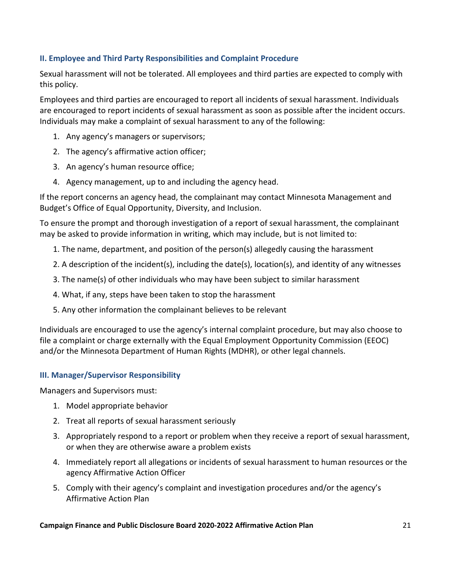#### **II. Employee and Third Party Responsibilities and Complaint Procedure**

Sexual harassment will not be tolerated. All employees and third parties are expected to comply with this policy.

Employees and third parties are encouraged to report all incidents of sexual harassment. Individuals are encouraged to report incidents of sexual harassment as soon as possible after the incident occurs. Individuals may make a complaint of sexual harassment to any of the following:

- 1. Any agency's managers or supervisors;
- 2. The agency's affirmative action officer;
- 3. An agency's human resource office;
- 4. Agency management, up to and including the agency head.

If the report concerns an agency head, the complainant may contact Minnesota Management and Budget's Office of Equal Opportunity, Diversity, and Inclusion.

To ensure the prompt and thorough investigation of a report of sexual harassment, the complainant may be asked to provide information in writing, which may include, but is not limited to:

- 1. The name, department, and position of the person(s) allegedly causing the harassment
- 2. A description of the incident(s), including the date(s), location(s), and identity of any witnesses
- 3. The name(s) of other individuals who may have been subject to similar harassment
- 4. What, if any, steps have been taken to stop the harassment
- 5. Any other information the complainant believes to be relevant

Individuals are encouraged to use the agency's internal complaint procedure, but may also choose to file a complaint or charge externally with the Equal Employment Opportunity Commission (EEOC) and/or the Minnesota Department of Human Rights (MDHR), or other legal channels.

#### **III. Manager/Supervisor Responsibility**

Managers and Supervisors must:

- 1. Model appropriate behavior
- 2. Treat all reports of sexual harassment seriously
- 3. Appropriately respond to a report or problem when they receive a report of sexual harassment, or when they are otherwise aware a problem exists
- 4. Immediately report all allegations or incidents of sexual harassment to human resources or the agency Affirmative Action Officer
- 5. Comply with their agency's complaint and investigation procedures and/or the agency's Affirmative Action Plan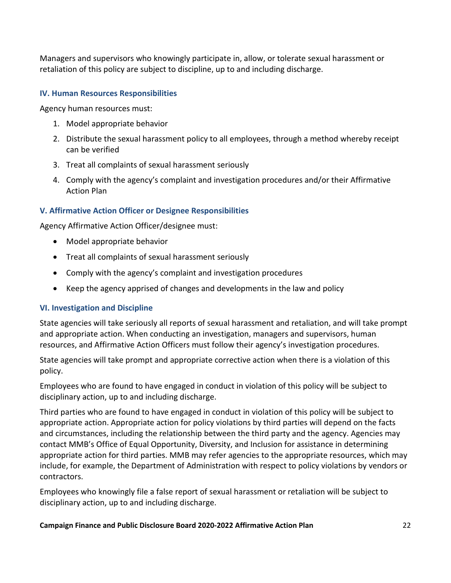Managers and supervisors who knowingly participate in, allow, or tolerate sexual harassment or retaliation of this policy are subject to discipline, up to and including discharge.

#### **IV. Human Resources Responsibilities**

Agency human resources must:

- 1. Model appropriate behavior
- 2. Distribute the sexual harassment policy to all employees, through a method whereby receipt can be verified
- 3. Treat all complaints of sexual harassment seriously
- 4. Comply with the agency's complaint and investigation procedures and/or their Affirmative Action Plan

#### **V. Affirmative Action Officer or Designee Responsibilities**

Agency Affirmative Action Officer/designee must:

- Model appropriate behavior
- Treat all complaints of sexual harassment seriously
- Comply with the agency's complaint and investigation procedures
- Keep the agency apprised of changes and developments in the law and policy

#### **VI. Investigation and Discipline**

State agencies will take seriously all reports of sexual harassment and retaliation, and will take prompt and appropriate action. When conducting an investigation, managers and supervisors, human resources, and Affirmative Action Officers must follow their agency's investigation procedures.

State agencies will take prompt and appropriate corrective action when there is a violation of this policy.

Employees who are found to have engaged in conduct in violation of this policy will be subject to disciplinary action, up to and including discharge.

Third parties who are found to have engaged in conduct in violation of this policy will be subject to appropriate action. Appropriate action for policy violations by third parties will depend on the facts and circumstances, including the relationship between the third party and the agency. Agencies may contact MMB's Office of Equal Opportunity, Diversity, and Inclusion for assistance in determining appropriate action for third parties. MMB may refer agencies to the appropriate resources, which may include, for example, the Department of Administration with respect to policy violations by vendors or contractors.

Employees who knowingly file a false report of sexual harassment or retaliation will be subject to disciplinary action, up to and including discharge.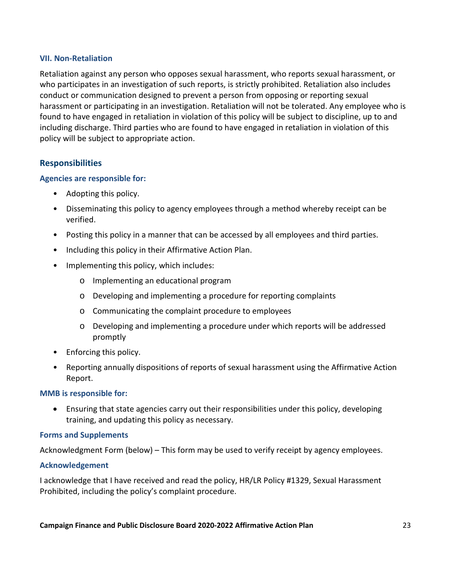#### **VII. Non-Retaliation**

Retaliation against any person who opposes sexual harassment, who reports sexual harassment, or who participates in an investigation of such reports, is strictly prohibited. Retaliation also includes conduct or communication designed to prevent a person from opposing or reporting sexual harassment or participating in an investigation. Retaliation will not be tolerated. Any employee who is found to have engaged in retaliation in violation of this policy will be subject to discipline, up to and including discharge. Third parties who are found to have engaged in retaliation in violation of this policy will be subject to appropriate action.

#### **Responsibilities**

#### **Agencies are responsible for:**

- Adopting this policy.
- Disseminating this policy to agency employees through a method whereby receipt can be verified.
- Posting this policy in a manner that can be accessed by all employees and third parties.
- Including this policy in their Affirmative Action Plan.
- Implementing this policy, which includes:
	- o Implementing an educational program
	- o Developing and implementing a procedure for reporting complaints
	- o Communicating the complaint procedure to employees
	- o Developing and implementing a procedure under which reports will be addressed promptly
- Enforcing this policy.
- Reporting annually dispositions of reports of sexual harassment using the Affirmative Action Report.

#### **MMB is responsible for:**

• Ensuring that state agencies carry out their responsibilities under this policy, developing training, and updating this policy as necessary.

#### **Forms and Supplements**

Acknowledgment Form (below) – This form may be used to verify receipt by agency employees.

#### **Acknowledgement**

I acknowledge that I have received and read the policy, HR/LR Policy #1329, Sexual Harassment Prohibited, including the policy's complaint procedure.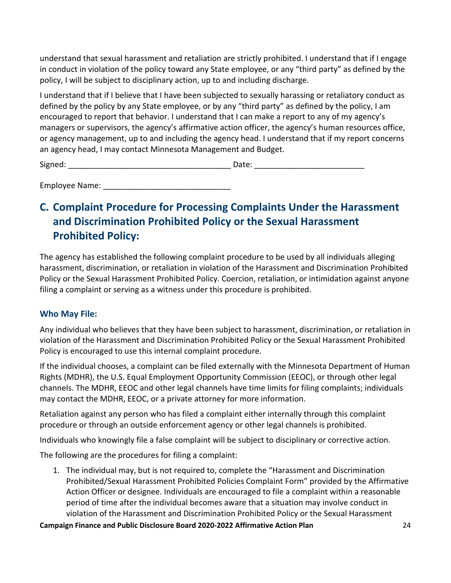understand that sexual harassment and retaliation are strictly prohibited. I understand that if I engage in conduct in violation of the policy toward any State employee, or any "third party" as defined by the policy, I will be subject to disciplinary action, up to and including discharge.

I understand that if I believe that I have been subjected to sexually harassing or retaliatory conduct as defined by the policy by any State employee, or by any "third party" as defined by the policy, I am encouraged to report that behavior. I understand that I can make a report to any of my agency's managers or supervisors, the agency's affirmative action officer, the agency's human resources office, or agency management, up to and including the agency head. I understand that if my report concerns an agency head, I may contact Minnesota Management and Budget.

Signed: \_\_\_\_\_\_\_\_\_\_\_\_\_\_\_\_\_\_\_\_\_\_\_\_\_\_\_\_\_\_\_\_\_\_\_\_\_ Date: \_\_\_\_\_\_\_\_\_\_\_\_\_\_\_\_\_\_\_\_\_\_\_\_\_

Employee Name: **Employee Name**:

### <span id="page-25-0"></span>**C. Complaint Procedure for Processing Complaints Under the Harassment and Discrimination Prohibited Policy or the Sexual Harassment Prohibited Policy:**

The agency has established the following complaint procedure to be used by all individuals alleging harassment, discrimination, or retaliation in violation of the Harassment and Discrimination Prohibited Policy or the Sexual Harassment Prohibited Policy. Coercion, retaliation, or intimidation against anyone filing a complaint or serving as a witness under this procedure is prohibited.

#### **Who May File:**

Any individual who believes that they have been subject to harassment, discrimination, or retaliation in violation of the Harassment and Discrimination Prohibited Policy or the Sexual Harassment Prohibited Policy is encouraged to use this internal complaint procedure.

If the individual chooses, a complaint can be filed externally with the Minnesota Department of Human Rights (MDHR), the U.S. Equal Employment Opportunity Commission (EEOC), or through other legal channels. The MDHR, EEOC and other legal channels have time limits for filing complaints; individuals may contact the MDHR, EEOC, or a private attorney for more information.

Retaliation against any person who has filed a complaint either internally through this complaint procedure or through an outside enforcement agency or other legal channels is prohibited.

Individuals who knowingly file a false complaint will be subject to disciplinary or corrective action.

The following are the procedures for filing a complaint:

1. The individual may, but is not required to, complete the "Harassment and Discrimination Prohibited/Sexual Harassment Prohibited Policies Complaint Form" provided by the Affirmative Action Officer or designee. Individuals are encouraged to file a complaint within a reasonable period of time after the individual becomes aware that a situation may involve conduct in violation of the Harassment and Discrimination Prohibited Policy or the Sexual Harassment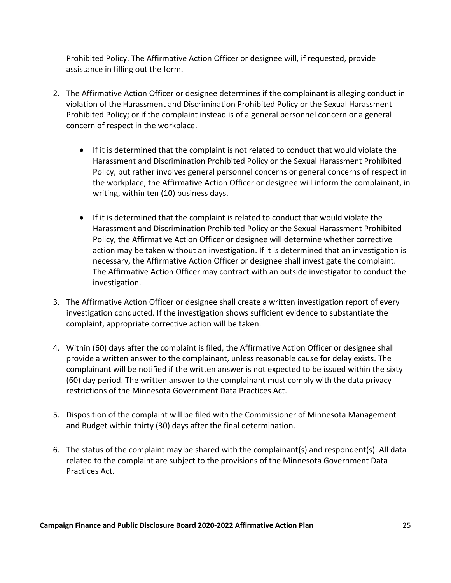Prohibited Policy. The Affirmative Action Officer or designee will, if requested, provide assistance in filling out the form.

- 2. The Affirmative Action Officer or designee determines if the complainant is alleging conduct in violation of the Harassment and Discrimination Prohibited Policy or the Sexual Harassment Prohibited Policy; or if the complaint instead is of a general personnel concern or a general concern of respect in the workplace.
	- If it is determined that the complaint is not related to conduct that would violate the Harassment and Discrimination Prohibited Policy or the Sexual Harassment Prohibited Policy, but rather involves general personnel concerns or general concerns of respect in the workplace, the Affirmative Action Officer or designee will inform the complainant, in writing, within ten (10) business days.
	- If it is determined that the complaint is related to conduct that would violate the Harassment and Discrimination Prohibited Policy or the Sexual Harassment Prohibited Policy, the Affirmative Action Officer or designee will determine whether corrective action may be taken without an investigation. If it is determined that an investigation is necessary, the Affirmative Action Officer or designee shall investigate the complaint. The Affirmative Action Officer may contract with an outside investigator to conduct the investigation.
- 3. The Affirmative Action Officer or designee shall create a written investigation report of every investigation conducted. If the investigation shows sufficient evidence to substantiate the complaint, appropriate corrective action will be taken.
- 4. Within (60) days after the complaint is filed, the Affirmative Action Officer or designee shall provide a written answer to the complainant, unless reasonable cause for delay exists. The complainant will be notified if the written answer is not expected to be issued within the sixty (60) day period. The written answer to the complainant must comply with the data privacy restrictions of the Minnesota Government Data Practices Act.
- 5. Disposition of the complaint will be filed with the Commissioner of Minnesota Management and Budget within thirty (30) days after the final determination.
- 6. The status of the complaint may be shared with the complainant(s) and respondent(s). All data related to the complaint are subject to the provisions of the Minnesota Government Data Practices Act.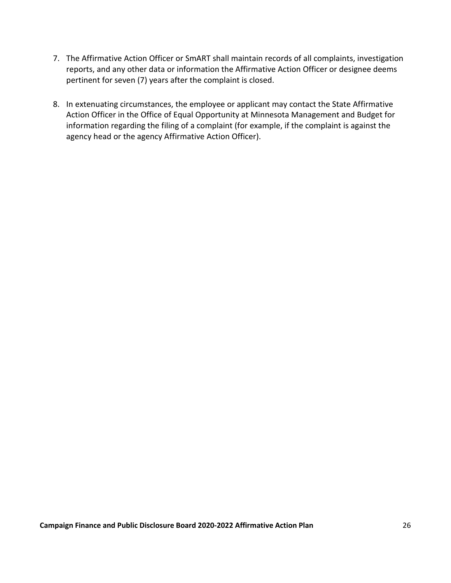- 7. The Affirmative Action Officer or SmART shall maintain records of all complaints, investigation reports, and any other data or information the Affirmative Action Officer or designee deems pertinent for seven (7) years after the complaint is closed.
- 8. In extenuating circumstances, the employee or applicant may contact the State Affirmative Action Officer in the Office of Equal Opportunity at Minnesota Management and Budget for information regarding the filing of a complaint (for example, if the complaint is against the agency head or the agency Affirmative Action Officer).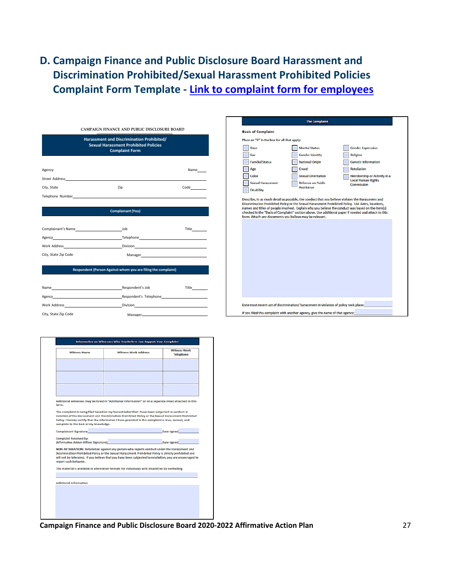### <span id="page-28-0"></span>**D. Campaign Finance and Public Disclosure Board Harassment and Discrimination Prohibited/Sexual Harassment Prohibited Policies Complaint Form Template - [Link to complaint form for employees](file://cfb-prod-data/Data/Administration/Policies%20and%20Procedures/Affirmative%20Action/sexual-harassment-prohibited-policies-complaint-form-template.pdf)**

|                                                                                                                                                                                                                                | Harassment and Discrimination Prohibited/<br><b>Sexual Harassment Prohibited Policies</b><br><b>Complaint Form</b> |                                                                                                                 |
|--------------------------------------------------------------------------------------------------------------------------------------------------------------------------------------------------------------------------------|--------------------------------------------------------------------------------------------------------------------|-----------------------------------------------------------------------------------------------------------------|
| Agency                                                                                                                                                                                                                         |                                                                                                                    | Name                                                                                                            |
|                                                                                                                                                                                                                                |                                                                                                                    |                                                                                                                 |
| City, State                                                                                                                                                                                                                    | Zip                                                                                                                | Code                                                                                                            |
|                                                                                                                                                                                                                                |                                                                                                                    |                                                                                                                 |
|                                                                                                                                                                                                                                | <b>Complainant (You)</b>                                                                                           |                                                                                                                 |
| Complainant's Name and a state state state state state state state state state state state state state state state state state state state state state state state state state state state state state state state state state |                                                                                                                    | Title                                                                                                           |
|                                                                                                                                                                                                                                |                                                                                                                    |                                                                                                                 |
|                                                                                                                                                                                                                                |                                                                                                                    |                                                                                                                 |
| City, State Zip Code                                                                                                                                                                                                           |                                                                                                                    | Manager and the contract of the contract of the contract of the contract of the contract of the contract of the |

**Respondent (Person Against whom you are filing the complaint)**

| Name                                                                                                           | Respondent's Job       | Title |
|----------------------------------------------------------------------------------------------------------------|------------------------|-------|
| Agency                                                                                                         | Respondent's Telephone |       |
| Work Address North Contract of the Contract of the Contract of the Contract of the Contract of the Contract of |                        |       |
| City, State Zip Code                                                                                           |                        |       |

| <b>Witness Name</b>                    | Witness Work Address                                                                                     | <b>Witness Work</b><br><b>Telephone</b> |
|----------------------------------------|----------------------------------------------------------------------------------------------------------|-----------------------------------------|
|                                        |                                                                                                          |                                         |
|                                        |                                                                                                          |                                         |
|                                        |                                                                                                          |                                         |
|                                        |                                                                                                          |                                         |
|                                        |                                                                                                          |                                         |
| form.                                  | Additional witnesses may be listed in "Additional Information" or on a separate sheet attached to this   |                                         |
|                                        | This complaint is being filed based on my honest belief that I have been subjected to conduct in         |                                         |
|                                        | violation of the Harassment and Discrimination Prohibited Policy or the Sexual Harassment Prohibited     |                                         |
| complete to the best of my knowledge.  | Policy. I hereby certify that the information I have provided in this complaint is true, correct, and    |                                         |
|                                        |                                                                                                          |                                         |
| Complainant Signature                  |                                                                                                          | Date signed                             |
| Complaint Received by:                 |                                                                                                          |                                         |
| (Affirmative Action Officer Signature) |                                                                                                          | Date signed                             |
|                                        | NON-RETALIATION: Retaliation against any person who reports conduct under the Harassment and             |                                         |
|                                        | Discrimination Prohibited Policy or the Sexual Harassment Prohibited Policy is strictly prohibited and   |                                         |
| report such behavior.                  | will not be tolerated. If you believe that you have been subjected to retaliation, you are encouraged to |                                         |
|                                        | This material is available in alternative formats for individuals with disabilities by contacting        |                                         |
|                                        |                                                                                                          |                                         |
| <b>Additional Information</b>          |                                                                                                          |                                         |
|                                        |                                                                                                          |                                         |
|                                        |                                                                                                          |                                         |

The Complaint **Basis of Complaint** Place an "X" in the box for all that apply: **Marital Status** Race Gender Expression  $\Box$  Sex Religion Gender Identity Familial Status National Origin Genetic Information Age Creed Retaliation Sexual Orientation Membership or Activity in a<br>Local Human Rights<br>Commission  $\Box$  Color Reliance on Public<br>Assistance Sexual Harassment Disability Describe, in as much detail as possible, the conduct that you believe violates the Harassment and Discrimination Prohibited Policy or the Sexual Harassment Prohibited Policy. List dates, locations, names and titles of peo Date most recent act of discrimination/ harassment in violation of policy took place: If you filed this complaint with another agency, give the name of that agency: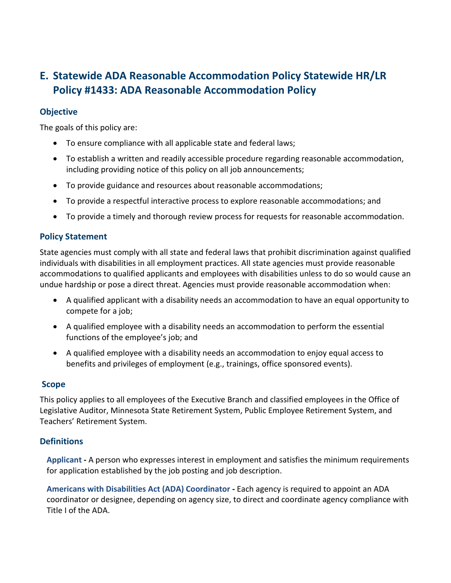### <span id="page-29-0"></span>**E. Statewide ADA Reasonable Accommodation Policy Statewide HR/LR Policy #1433: ADA Reasonable Accommodation Policy**

#### **Objective**

The goals of this policy are:

- To ensure compliance with all applicable state and federal laws;
- To establish a written and readily accessible procedure regarding reasonable accommodation, including providing notice of this policy on all job announcements;
- To provide guidance and resources about reasonable accommodations;
- To provide a respectful interactive process to explore reasonable accommodations; and
- To provide a timely and thorough review process for requests for reasonable accommodation.

#### **Policy Statement**

State agencies must comply with all state and federal laws that prohibit discrimination against qualified individuals with disabilities in all employment practices. All state agencies must provide reasonable accommodations to qualified applicants and employees with disabilities unless to do so would cause an undue hardship or pose a direct threat. Agencies must provide reasonable accommodation when:

- A qualified applicant with a disability needs an accommodation to have an equal opportunity to compete for a job;
- A qualified employee with a disability needs an accommodation to perform the essential functions of the employee's job; and
- A qualified employee with a disability needs an accommodation to enjoy equal access to benefits and privileges of employment (e.g., trainings, office sponsored events).

#### **Scope**

This policy applies to all employees of the Executive Branch and classified employees in the Office of Legislative Auditor, Minnesota State Retirement System, Public Employee Retirement System, and Teachers' Retirement System.

#### **Definitions**

**Applicant -** A person who expresses interest in employment and satisfies the minimum requirements for application established by the job posting and job description.

**Americans with Disabilities Act (ADA) Coordinator -** Each agency is required to appoint an ADA coordinator or designee, depending on agency size, to direct and coordinate agency compliance with Title I of the ADA.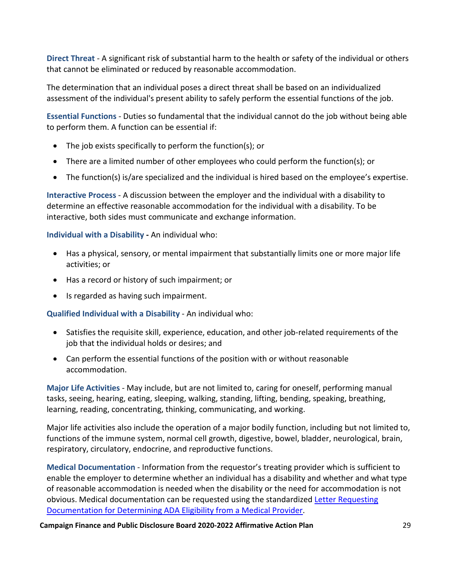**Direct Threat** *-* A significant risk of substantial harm to the health or safety of the individual or others that cannot be eliminated or reduced by reasonable accommodation.

The determination that an individual poses a direct threat shall be based on an individualized assessment of the individual's present ability to safely perform the essential functions of the job.

**Essential Functions** *-* Duties so fundamental that the individual cannot do the job without being able to perform them. A function can be essential if:

- The job exists specifically to perform the function(s); or
- There are a limited number of other employees who could perform the function(s); or
- The function(s) is/are specialized and the individual is hired based on the employee's expertise.

**Interactive Process** *-* A discussion between the employer and the individual with a disability to determine an effective reasonable accommodation for the individual with a disability. To be interactive, both sides must communicate and exchange information.

#### **Individual with a Disability -** An individual who:

- Has a physical, sensory, or mental impairment that substantially limits one or more major life activities; or
- Has a record or history of such impairment; or
- Is regarded as having such impairment.

**Qualified Individual with a Disability** - An individual who:

- Satisfies the requisite skill, experience, education, and other job-related requirements of the job that the individual holds or desires; and
- Can perform the essential functions of the position with or without reasonable accommodation.

**Major Life Activities** *-* May include, but are not limited to, caring for oneself, performing manual tasks, seeing, hearing, eating, sleeping, walking, standing, lifting, bending, speaking, breathing, learning, reading, concentrating, thinking, communicating, and working.

Major life activities also include the operation of a major bodily function, including but not limited to, functions of the immune system, normal cell growth, digestive, bowel, bladder, neurological, brain, respiratory, circulatory, endocrine, and reproductive functions.

**Medical Documentation** - Information from the requestor's treating provider which is sufficient to enable the employer to determine whether an individual has a disability and whether and what type of reasonable accommodation is needed when the disability or the need for accommodation is not obvious. Medical documentation can be requested using the standardized Letter Requesting [Documentation for Determining ADA Eligibility from a Medical Provider.](https://mn.gov/mmb-stat/policies/letter-to-treating-physician-requesting-docs-for-ada-eligibility.pdf)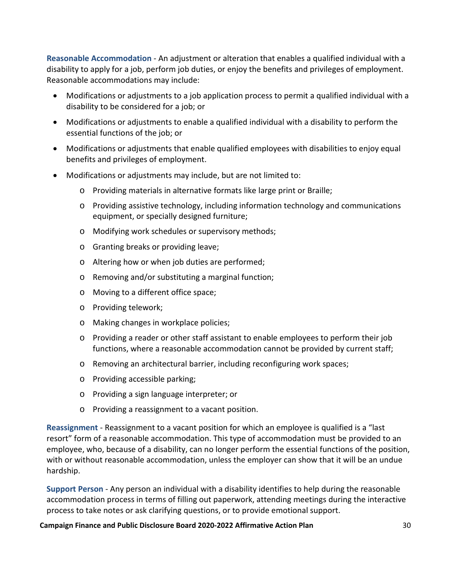**Reasonable Accommodation** - An adjustment or alteration that enables a qualified individual with a disability to apply for a job, perform job duties, or enjoy the benefits and privileges of employment. Reasonable accommodations may include:

- Modifications or adjustments to a job application process to permit a qualified individual with a disability to be considered for a job; or
- Modifications or adjustments to enable a qualified individual with a disability to perform the essential functions of the job; or
- Modifications or adjustments that enable qualified employees with disabilities to enjoy equal benefits and privileges of employment.
- Modifications or adjustments may include, but are not limited to:
	- o Providing materials in alternative formats like large print or Braille;
	- o Providing assistive technology, including information technology and communications equipment, or specially designed furniture;
	- o Modifying work schedules or supervisory methods;
	- o Granting breaks or providing leave;
	- o Altering how or when job duties are performed;
	- o Removing and/or substituting a marginal function;
	- o Moving to a different office space;
	- o Providing telework;
	- o Making changes in workplace policies;
	- o Providing a reader or other staff assistant to enable employees to perform their job functions, where a reasonable accommodation cannot be provided by current staff;
	- o Removing an architectural barrier, including reconfiguring work spaces;
	- o Providing accessible parking;
	- o Providing a sign language interpreter; or
	- o Providing a reassignment to a vacant position.

**Reassignment** - Reassignment to a vacant position for which an employee is qualified is a "last resort" form of a reasonable accommodation. This type of accommodation must be provided to an employee, who, because of a disability, can no longer perform the essential functions of the position, with or without reasonable accommodation, unless the employer can show that it will be an undue hardship.

**Support Person** - Any person an individual with a disability identifies to help during the reasonable accommodation process in terms of filling out paperwork, attending meetings during the interactive process to take notes or ask clarifying questions, or to provide emotional support.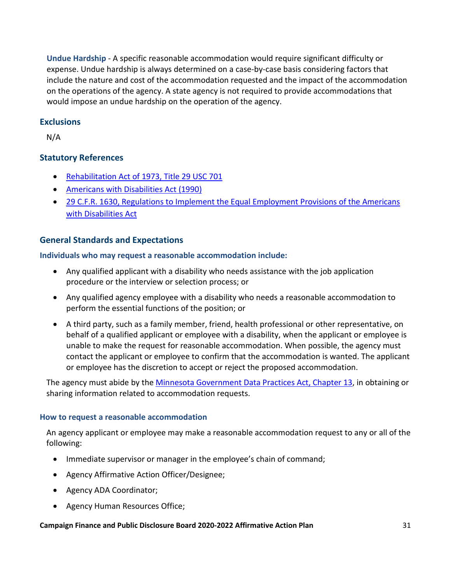**Undue Hardship** - A specific reasonable accommodation would require significant difficulty or expense. Undue hardship is always determined on a case-by-case basis considering factors that include the nature and cost of the accommodation requested and the impact of the accommodation on the operations of the agency. A state agency is not required to provide accommodations that would impose an undue hardship on the operation of the agency.

#### **Exclusions**

N/A

#### **Statutory References**

- [Rehabilitation Act of 1973, Title 29 USC 701](http://www.gpo.gov/fdsys/pkg/USCODE-2011-title29/pdf/USCODE-2011-title29-chap16-other-sec701.pdf)
- [Americans with Disabilities Act \(1990\)](http://www.eeoc.gov/laws/statutes/ada.cfm)
- [29 C.F.R. 1630, Regulations to Implement the Equal Employment Provisions of the Americans](http://www.ecfr.gov/cgi-bin/text-idx?SID=706a20d9d9f6ce0f0dbc46ea6ff8b049&node=29:4.1.4.1.20&rgn=div5)  [with Disabilities Act](http://www.ecfr.gov/cgi-bin/text-idx?SID=706a20d9d9f6ce0f0dbc46ea6ff8b049&node=29:4.1.4.1.20&rgn=div5)

#### **General Standards and Expectations**

#### **Individuals who may request a reasonable accommodation include:**

- Any qualified applicant with a disability who needs assistance with the job application procedure or the interview or selection process; or
- Any qualified agency employee with a disability who needs a reasonable accommodation to perform the essential functions of the position; or
- A third party, such as a family member, friend, health professional or other representative, on behalf of a qualified applicant or employee with a disability, when the applicant or employee is unable to make the request for reasonable accommodation. When possible, the agency must contact the applicant or employee to confirm that the accommodation is wanted. The applicant or employee has the discretion to accept or reject the proposed accommodation.

The agency must abide by the [Minnesota Government Data Practices](https://www.revisor.mn.gov/statutes/?id=13) Act, Chapter 13, in obtaining or sharing information related to accommodation requests.

#### **How to request a reasonable accommodation**

An agency applicant or employee may make a reasonable accommodation request to any or all of the following:

- Immediate supervisor or manager in the employee's chain of command;
- Agency Affirmative Action Officer/Designee;
- Agency ADA Coordinator;
- Agency Human Resources Office;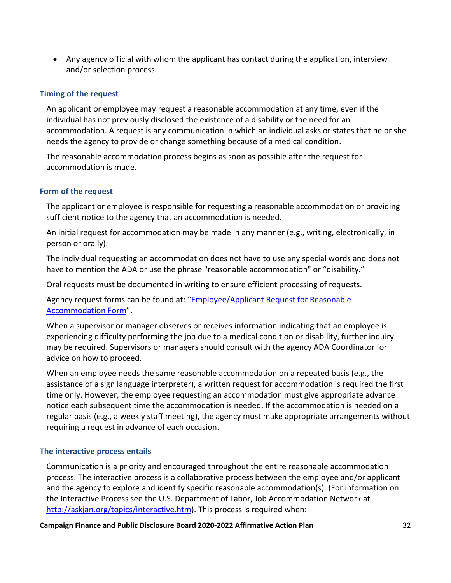• Any agency official with whom the applicant has contact during the application, interview and/or selection process.

#### **Timing of the request**

An applicant or employee may request a reasonable accommodation at any time, even if the individual has not previously disclosed the existence of a disability or the need for an accommodation. A request is any communication in which an individual asks or states that he or she needs the agency to provide or change something because of a medical condition.

The reasonable accommodation process begins as soon as possible after the request for accommodation is made.

#### **Form of the request**

The applicant or employee is responsible for requesting a reasonable accommodation or providing sufficient notice to the agency that an accommodation is needed.

An initial request for accommodation may be made in any manner (e.g., writing, electronically, in person or orally).

The individual requesting an accommodation does not have to use any special words and does not have to mention the ADA or use the phrase "reasonable accommodation" or "disability."

Oral requests must be documented in writing to ensure efficient processing of requests.

Agency request forms can be found at: "Employee/Applicant Request for Reasonable [Accommodation Form"](https://mn.gov/mmb-stat/equal-opportunity/ada/accommodation-request-form.docx).

When a supervisor or manager observes or receives information indicating that an employee is experiencing difficulty performing the job due to a medical condition or disability, further inquiry may be required. Supervisors or managers should consult with the agency ADA Coordinator for advice on how to proceed.

When an employee needs the same reasonable accommodation on a repeated basis (e.g., the assistance of a sign language interpreter), a written request for accommodation is required the first time only. However, the employee requesting an accommodation must give appropriate advance notice each subsequent time the accommodation is needed. If the accommodation is needed on a regular basis (e.g., a weekly staff meeting), the agency must make appropriate arrangements without requiring a request in advance of each occasion.

#### **The interactive process entails**

Communication is a priority and encouraged throughout the entire reasonable accommodation process. The interactive process is a collaborative process between the employee and/or applicant and the agency to explore and identify specific reasonable accommodation(s). (For information on the Interactive Process see the U.S. Department of Labor, Job Accommodation Network at [http://askjan.org/topics/interactive.htm\)](http://askjan.org/topics/interactive.htm). This process is required when: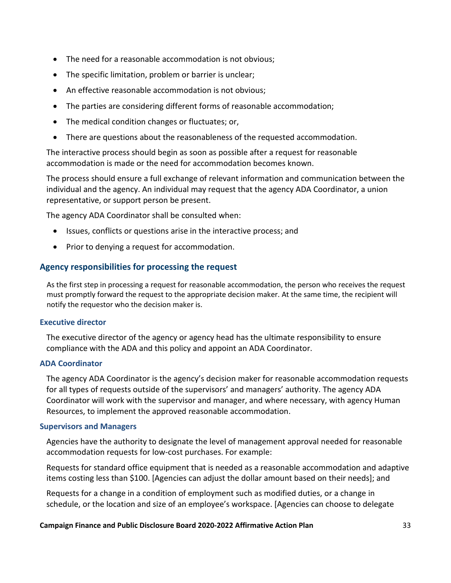- The need for a reasonable accommodation is not obvious;
- The specific limitation, problem or barrier is unclear;
- An effective reasonable accommodation is not obvious;
- The parties are considering different forms of reasonable accommodation;
- The medical condition changes or fluctuates; or,
- There are questions about the reasonableness of the requested accommodation.

The interactive process should begin as soon as possible after a request for reasonable accommodation is made or the need for accommodation becomes known.

The process should ensure a full exchange of relevant information and communication between the individual and the agency. An individual may request that the agency ADA Coordinator, a union representative, or support person be present.

The agency ADA Coordinator shall be consulted when:

- Issues, conflicts or questions arise in the interactive process; and
- Prior to denying a request for accommodation.

#### **Agency responsibilities for processing the request**

As the first step in processing a request for reasonable accommodation, the person who receives the request must promptly forward the request to the appropriate decision maker. At the same time, the recipient will notify the requestor who the decision maker is.

#### **Executive director**

The executive director of the agency or agency head has the ultimate responsibility to ensure compliance with the ADA and this policy and appoint an ADA Coordinator.

#### **ADA Coordinator**

The agency ADA Coordinator is the agency's decision maker for reasonable accommodation requests for all types of requests outside of the supervisors' and managers' authority. The agency ADA Coordinator will work with the supervisor and manager, and where necessary, with agency Human Resources, to implement the approved reasonable accommodation.

#### **Supervisors and Managers**

Agencies have the authority to designate the level of management approval needed for reasonable accommodation requests for low-cost purchases. For example:

Requests for standard office equipment that is needed as a reasonable accommodation and adaptive items costing less than \$100. [Agencies can adjust the dollar amount based on their needs]; and

Requests for a change in a condition of employment such as modified duties, or a change in schedule, or the location and size of an employee's workspace. [Agencies can choose to delegate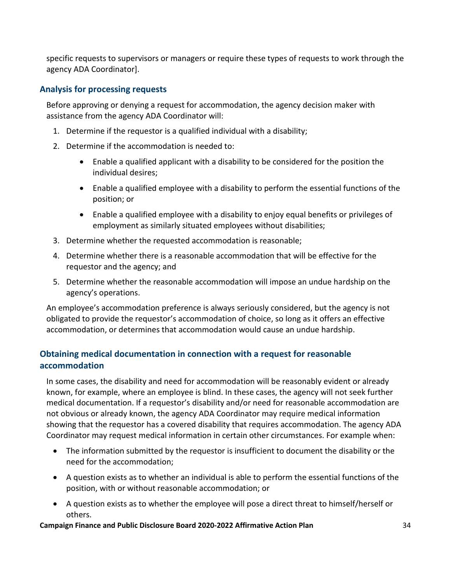specific requests to supervisors or managers or require these types of requests to work through the agency ADA Coordinator].

#### **Analysis for processing requests**

Before approving or denying a request for accommodation, the agency decision maker with assistance from the agency ADA Coordinator will:

- 1. Determine if the requestor is a qualified individual with a disability;
- 2. Determine if the accommodation is needed to:
	- Enable a qualified applicant with a disability to be considered for the position the individual desires;
	- Enable a qualified employee with a disability to perform the essential functions of the position; or
	- Enable a qualified employee with a disability to enjoy equal benefits or privileges of employment as similarly situated employees without disabilities;
- 3. Determine whether the requested accommodation is reasonable;
- 4. Determine whether there is a reasonable accommodation that will be effective for the requestor and the agency; and
- 5. Determine whether the reasonable accommodation will impose an undue hardship on the agency's operations.

An employee's accommodation preference is always seriously considered, but the agency is not obligated to provide the requestor's accommodation of choice, so long as it offers an effective accommodation, or determines that accommodation would cause an undue hardship.

#### **Obtaining medical documentation in connection with a request for reasonable accommodation**

In some cases, the disability and need for accommodation will be reasonably evident or already known, for example, where an employee is blind. In these cases, the agency will not seek further medical documentation. If a requestor's disability and/or need for reasonable accommodation are not obvious or already known, the agency ADA Coordinator may require medical information showing that the requestor has a covered disability that requires accommodation. The agency ADA Coordinator may request medical information in certain other circumstances. For example when:

- The information submitted by the requestor is insufficient to document the disability or the need for the accommodation;
- A question exists as to whether an individual is able to perform the essential functions of the position, with or without reasonable accommodation; or
- A question exists as to whether the employee will pose a direct threat to himself/herself or others.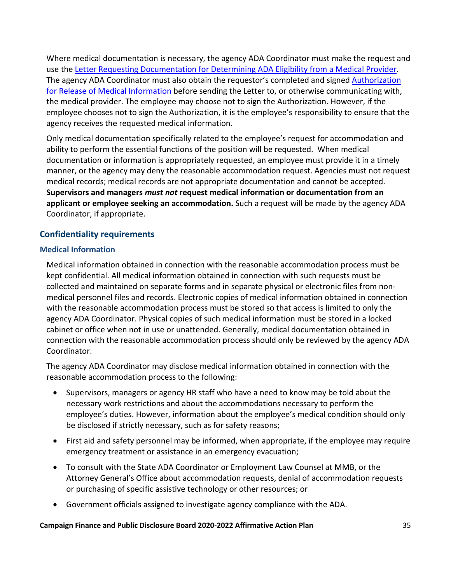Where medical documentation is necessary, the agency ADA Coordinator must make the request and use th[e Letter Requesting Documentation for Determining ADA Eligibility from a Medical Provider.](https://mn.gov/mmb-stat/policies/letter-to-treating-physician-requesting-docs-for-ada-eligibility.pdf) The agency ADA Coordinator must also obtain the requestor's completed and signed [Authorization](https://mn.gov/mmb-stat/policies/ada-authorization-for-release-of-medical-information.docx)  [for Release of Medical Information](https://mn.gov/mmb-stat/policies/ada-authorization-for-release-of-medical-information.docx) before sending the Letter to, or otherwise communicating with, the medical provider. The employee may choose not to sign the Authorization. However, if the employee chooses not to sign the Authorization, it is the employee's responsibility to ensure that the agency receives the requested medical information.

Only medical documentation specifically related to the employee's request for accommodation and ability to perform the essential functions of the position will be requested. When medical documentation or information is appropriately requested, an employee must provide it in a timely manner, or the agency may deny the reasonable accommodation request. Agencies must not request medical records; medical records are not appropriate documentation and cannot be accepted. **Supervisors and managers** *must not* **request medical information or documentation from an applicant or employee seeking an accommodation.** Such a request will be made by the agency ADA Coordinator, if appropriate.

#### **Confidentiality requirements**

#### **Medical Information**

Medical information obtained in connection with the reasonable accommodation process must be kept confidential. All medical information obtained in connection with such requests must be collected and maintained on separate forms and in separate physical or electronic files from nonmedical personnel files and records. Electronic copies of medical information obtained in connection with the reasonable accommodation process must be stored so that access is limited to only the agency ADA Coordinator. Physical copies of such medical information must be stored in a locked cabinet or office when not in use or unattended. Generally, medical documentation obtained in connection with the reasonable accommodation process should only be reviewed by the agency ADA Coordinator.

The agency ADA Coordinator may disclose medical information obtained in connection with the reasonable accommodation process to the following:

- Supervisors, managers or agency HR staff who have a need to know may be told about the necessary work restrictions and about the accommodations necessary to perform the employee's duties. However, information about the employee's medical condition should only be disclosed if strictly necessary, such as for safety reasons;
- First aid and safety personnel may be informed, when appropriate, if the employee may require emergency treatment or assistance in an emergency evacuation;
- To consult with the State ADA Coordinator or Employment Law Counsel at MMB, or the Attorney General's Office about accommodation requests, denial of accommodation requests or purchasing of specific assistive technology or other resources; or
- Government officials assigned to investigate agency compliance with the ADA.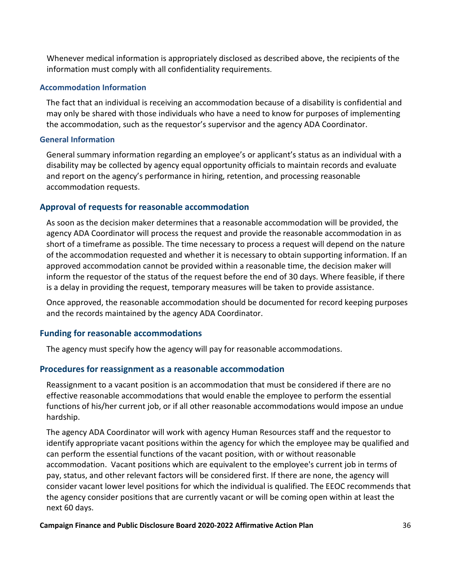Whenever medical information is appropriately disclosed as described above, the recipients of the information must comply with all confidentiality requirements.

#### **Accommodation Information**

The fact that an individual is receiving an accommodation because of a disability is confidential and may only be shared with those individuals who have a need to know for purposes of implementing the accommodation, such as the requestor's supervisor and the agency ADA Coordinator.

#### **General Information**

General summary information regarding an employee's or applicant's status as an individual with a disability may be collected by agency equal opportunity officials to maintain records and evaluate and report on the agency's performance in hiring, retention, and processing reasonable accommodation requests.

#### **Approval of requests for reasonable accommodation**

As soon as the decision maker determines that a reasonable accommodation will be provided, the agency ADA Coordinator will process the request and provide the reasonable accommodation in as short of a timeframe as possible. The time necessary to process a request will depend on the nature of the accommodation requested and whether it is necessary to obtain supporting information. If an approved accommodation cannot be provided within a reasonable time, the decision maker will inform the requestor of the status of the request before the end of 30 days. Where feasible, if there is a delay in providing the request, temporary measures will be taken to provide assistance.

Once approved, the reasonable accommodation should be documented for record keeping purposes and the records maintained by the agency ADA Coordinator.

#### **Funding for reasonable accommodations**

The agency must specify how the agency will pay for reasonable accommodations.

#### **Procedures for reassignment as a reasonable accommodation**

Reassignment to a vacant position is an accommodation that must be considered if there are no effective reasonable accommodations that would enable the employee to perform the essential functions of his/her current job, or if all other reasonable accommodations would impose an undue hardship.

The agency ADA Coordinator will work with agency Human Resources staff and the requestor to identify appropriate vacant positions within the agency for which the employee may be qualified and can perform the essential functions of the vacant position, with or without reasonable accommodation. Vacant positions which are equivalent to the employee's current job in terms of pay, status, and other relevant factors will be considered first. If there are none, the agency will consider vacant lower level positions for which the individual is qualified. The EEOC recommends that the agency consider positions that are currently vacant or will be coming open within at least the next 60 days.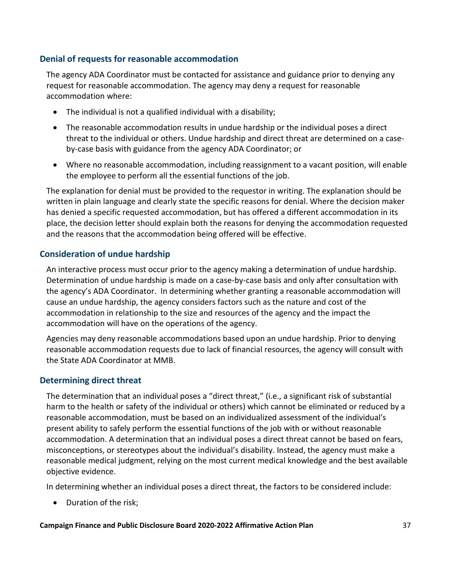#### **Denial of requests for reasonable accommodation**

The agency ADA Coordinator must be contacted for assistance and guidance prior to denying any request for reasonable accommodation. The agency may deny a request for reasonable accommodation where:

- The individual is not a qualified individual with a disability;
- The reasonable accommodation results in undue hardship or the individual poses a direct threat to the individual or others. Undue hardship and direct threat are determined on a caseby-case basis with guidance from the agency ADA Coordinator; or
- Where no reasonable accommodation, including reassignment to a vacant position, will enable the employee to perform all the essential functions of the job.

The explanation for denial must be provided to the requestor in writing. The explanation should be written in plain language and clearly state the specific reasons for denial. Where the decision maker has denied a specific requested accommodation, but has offered a different accommodation in its place, the decision letter should explain both the reasons for denying the accommodation requested and the reasons that the accommodation being offered will be effective.

#### **Consideration of undue hardship**

An interactive process must occur prior to the agency making a determination of undue hardship. Determination of undue hardship is made on a case-by-case basis and only after consultation with the agency's ADA Coordinator. In determining whether granting a reasonable accommodation will cause an undue hardship, the agency considers factors such as the nature and cost of the accommodation in relationship to the size and resources of the agency and the impact the accommodation will have on the operations of the agency.

Agencies may deny reasonable accommodations based upon an undue hardship. Prior to denying reasonable accommodation requests due to lack of financial resources, the agency will consult with the State ADA Coordinator at MMB.

#### **Determining direct threat**

The determination that an individual poses a "direct threat," (i.e., a significant risk of substantial harm to the health or safety of the individual or others) which cannot be eliminated or reduced by a reasonable accommodation, must be based on an individualized assessment of the individual's present ability to safely perform the essential functions of the job with or without reasonable accommodation. A determination that an individual poses a direct threat cannot be based on fears, misconceptions, or stereotypes about the individual's disability. Instead, the agency must make a reasonable medical judgment, relying on the most current medical knowledge and the best available objective evidence.

In determining whether an individual poses a direct threat, the factors to be considered include:

• Duration of the risk;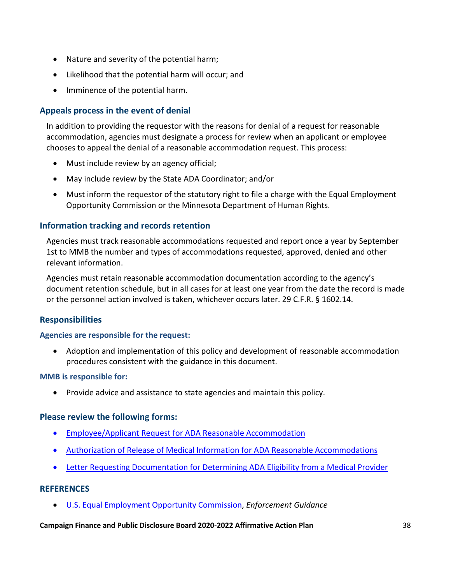- Nature and severity of the potential harm;
- Likelihood that the potential harm will occur; and
- Imminence of the potential harm.

#### **Appeals process in the event of denial**

In addition to providing the requestor with the reasons for denial of a request for reasonable accommodation, agencies must designate a process for review when an applicant or employee chooses to appeal the denial of a reasonable accommodation request. This process:

- Must include review by an agency official;
- May include review by the State ADA Coordinator; and/or
- Must inform the requestor of the statutory right to file a charge with the Equal Employment Opportunity Commission or the Minnesota Department of Human Rights.

#### **Information tracking and records retention**

Agencies must track reasonable accommodations requested and report once a year by September 1st to MMB the number and types of accommodations requested, approved, denied and other relevant information.

Agencies must retain reasonable accommodation documentation according to the agency's document retention schedule, but in all cases for at least one year from the date the record is made or the personnel action involved is taken, whichever occurs later. 29 C.F.R. § 1602.14.

#### **Responsibilities**

#### **Agencies are responsible for the request:**

• Adoption and implementation of this policy and development of reasonable accommodation procedures consistent with the guidance in this document.

#### **MMB is responsible for:**

• Provide advice and assistance to state agencies and maintain this policy.

#### **Please review the following forms:**

- [Employee/Applicant Request for ADA Reasonable Accommodation](https://mn.gov/mmb-stat/equal-opportunity/ada/accommodation-request-form.docx)
- [Authorization of Release of Medical Information for ADA Reasonable Accommodations](https://mn.gov/mmb-stat/policies/ada-authorization-for-release-of-medical-information.docx)
- [Letter Requesting Documentation for Determining ADA Eligibility from a Medical Provider](https://mn.gov/mmb-stat/policies/letter-to-treating-physician-requesting-docs-for-ada-eligibility.pdf)

#### **REFERENCES**

• [U.S. Equal Employment Opportunity Commission,](http://www.eeoc.gov/) *Enforcement Guidance*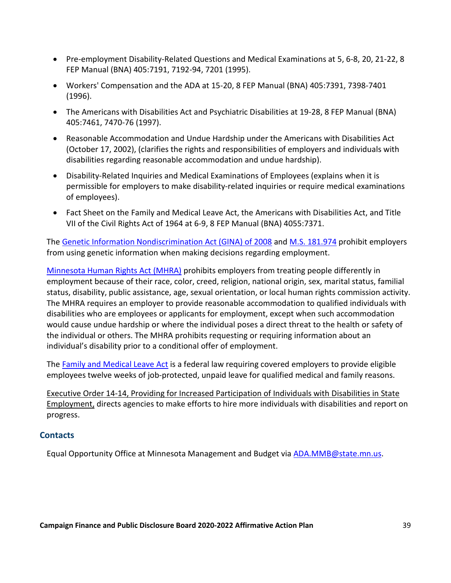- Pre-employment Disability-Related Questions and Medical Examinations at 5, 6-8, 20, 21-22, 8 FEP Manual (BNA) 405:7191, 7192-94, 7201 (1995).
- Workers' Compensation and the ADA at 15-20, 8 FEP Manual (BNA) 405:7391, 7398-7401 (1996).
- The Americans with Disabilities Act and Psychiatric Disabilities at 19-28, 8 FEP Manual (BNA) 405:7461, 7470-76 (1997).
- Reasonable Accommodation and Undue Hardship under the Americans with Disabilities Act (October 17, 2002), (clarifies the rights and responsibilities of employers and individuals with disabilities regarding reasonable accommodation and undue hardship).
- Disability-Related Inquiries and Medical Examinations of Employees (explains when it is permissible for employers to make disability-related inquiries or require medical examinations of employees).
- Fact Sheet on the Family and Medical Leave Act, the Americans with Disabilities Act, and Title VII of the Civil Rights Act of 1964 at 6-9, 8 FEP Manual (BNA) 4055:7371.

The [Genetic Information Nondiscrimination Act \(GINA\) of 2008](http://www.eeoc.gov/laws/types/genetic.cfm) and [M.S. 181.974](https://www.revisor.mn.gov/statutes/?id=181.974) prohibit employers from using genetic information when making decisions regarding employment.

[Minnesota Human Rights Act \(MHRA\)](https://www.revisor.mn.gov/statutes/?id=363A) prohibits employers from treating people differently in employment because of their race, color, creed, religion, national origin, sex, marital status, familial status, disability, public assistance, age, sexual orientation, or local human rights commission activity. The MHRA requires an employer to provide reasonable accommodation to qualified individuals with disabilities who are employees or applicants for employment, except when such accommodation would cause undue hardship or where the individual poses a direct threat to the health or safety of the individual or others. The MHRA prohibits requesting or requiring information about an individual's disability prior to a conditional offer of employment.

The [Family and Medical Leave Act](http://www.dol.gov/whd/fmla/) is a federal law requiring covered employers to provide eligible employees twelve weeks of job-protected, unpaid leave for qualified medical and family reasons.

Executive Order 14-14, Providing for Increased Participation of Individuals with Disabilities in State Employment, directs agencies to make efforts to hire more individuals with disabilities and report on progress.

#### **Contacts**

Equal Opportunity Office at Minnesota Management and Budget via [ADA.MMB@state.mn.us.](mailto:ADA.MMB@state.mn.us)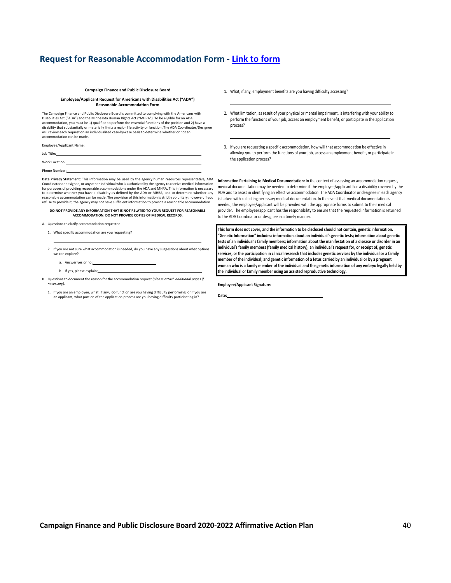#### **Request for Reasonable Accommodation Form - [Link to form](https://cfb.mn.gov/pdf/publications/policies/accommodation-request-form.pdf?t=1593104389)**

#### **Campaign Finance and Public Disclosure Board**

#### **Employee/Applicant Request for Americans with Disabilities Act ("ADA") Reasonable Accommodation Form**

The Campaign Finance and Public Disclosure Board is committed to complying with the Americans with Disabilities Act ("ADA") and the Minnesota Human Rights Act ("MHRA"). To be eligible for an ADA accommodation, you must be 1) qualified to perform the essential functions of the position and 2) have a disability that substantially or materially limits a major life activity or function. The ADA Coordinator/Designee will review each request on an individualized case-by-case basis to determine whether or not an accommodation can be made.

Employee/Applicant Name:

Job Title:

Work Location:

Phone Number:

**Data Privacy Statement:** This information may be used by the agency human resources representative, ADA Coordinator or designee, or any other individual who is authorized by the agency to receive medical information for purposes of providing reasonable accommodations under the ADA and MHRA. This information is necessary to determine whether you have a disability as defined by the ADA or MHRA, and to determine whether any reasonable accommodation can be made. The provision of this information is strictly voluntary; however, if you refuse to provide it, the agency may not have sufficient information to provide a reasonable accommodation.

**DO NOT PROVIDE ANY INFORMATION THAT IS NOT RELATED TO YOUR REQUEST FOR REASONABLE ACCOMMODATION. DO NOT PROVIDE COPIES OF MEDICAL RECORDS.**

- 1. What specific accommodation are you requesting?
- 2. If you are not sure what accommodation is needed, do you have any suggestions about what options we can explore?
	- a. Answer yes or no:
	- b. If yes, please explain:
- B. Questions to document the reason for the accommodation request *(please attach additional pages if necessary).*
	- 1. If you are an employee, what, if any, job function are you having difficulty performing; or if you are applicant, what portion of the application process are you having difficulty participating in?
- 1. What, if any, employment benefits are you having difficulty accessing?
- 2. What limitation, as result of your physical or mental impairment, is interfering with your ability to perform the functions of your job, access an employment benefit, or participate in the application process?
- 3. If you are requesting a specific accommodation, how will that accommodation be effective in allowing you to perform the functions of your job, access an employment benefit, or participate in the application process?

**Information Pertaining to Medical Documentation:** In the context of assessing an accommodation request, medical documentation may be needed to determine if the employee/applicant has a disability covered by the ADA and to assist in identifying an effective accommodation. The ADA Coordinator or designee in each agency is tasked with collecting necessary medical documentation. In the event that medical documentation is needed, the employee/applicant will be provided with the appropriate forms to submit to their medical provider. The employee/applicant has the responsibility to ensure that the requested information is returned to the ADA Coordinator or designee in a timely manner.

**This form does not cover, and the information to be disclosed should not contain, genetic information. "Genetic Information" includes: information about an individual's genetic tests; information about genetic tests of an individual's family members; information about the manifestation of a disease or disorder in an individual's family members (family medical history); an individual's request for, or receipt of, genetic services, or the participation in clinical research that includes genetic services by the individual or a family member of the individual; and genetic information of a fetus carried by an individual or by a pregnant woman who is a family member of the individual and the genetic information of any embryo legally held by the individual or family member using an assisted reproductive technology.**

**Employee/Applicant Signature:**

**Date:**

A. Questions to clarify accommodation requested.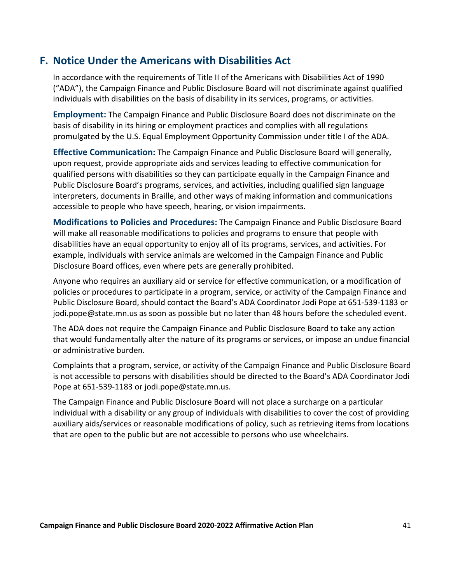### <span id="page-42-0"></span>**F. Notice Under the Americans with Disabilities Act**

In accordance with the requirements of Title II of the Americans with Disabilities Act of 1990 ("ADA"), the Campaign Finance and Public Disclosure Board will not discriminate against qualified individuals with disabilities on the basis of disability in its services, programs, or activities.

**Employment:** The Campaign Finance and Public Disclosure Board does not discriminate on the basis of disability in its hiring or employment practices and complies with all regulations promulgated by the U.S. Equal Employment Opportunity Commission under title I of the ADA.

**Effective Communication:** The Campaign Finance and Public Disclosure Board will generally, upon request, provide appropriate aids and services leading to effective communication for qualified persons with disabilities so they can participate equally in the Campaign Finance and Public Disclosure Board's programs, services, and activities, including qualified sign language interpreters, documents in Braille, and other ways of making information and communications accessible to people who have speech, hearing, or vision impairments.

**Modifications to Policies and Procedures:** The Campaign Finance and Public Disclosure Board will make all reasonable modifications to policies and programs to ensure that people with disabilities have an equal opportunity to enjoy all of its programs, services, and activities. For example, individuals with service animals are welcomed in the Campaign Finance and Public Disclosure Board offices, even where pets are generally prohibited.

Anyone who requires an auxiliary aid or service for effective communication, or a modification of policies or procedures to participate in a program, service, or activity of the Campaign Finance and Public Disclosure Board, should contact the Board's ADA Coordinator Jodi Pope at 651-539-1183 or jodi.pope@state.mn.us as soon as possible but no later than 48 hours before the scheduled event.

The ADA does not require the Campaign Finance and Public Disclosure Board to take any action that would fundamentally alter the nature of its programs or services, or impose an undue financial or administrative burden.

Complaints that a program, service, or activity of the Campaign Finance and Public Disclosure Board is not accessible to persons with disabilities should be directed to the Board's ADA Coordinator Jodi Pope at 651-539-1183 or jodi.pope@state.mn.us.

The Campaign Finance and Public Disclosure Board will not place a surcharge on a particular individual with a disability or any group of individuals with disabilities to cover the cost of providing auxiliary aids/services or reasonable modifications of policy, such as retrieving items from locations that are open to the public but are not accessible to persons who use wheelchairs.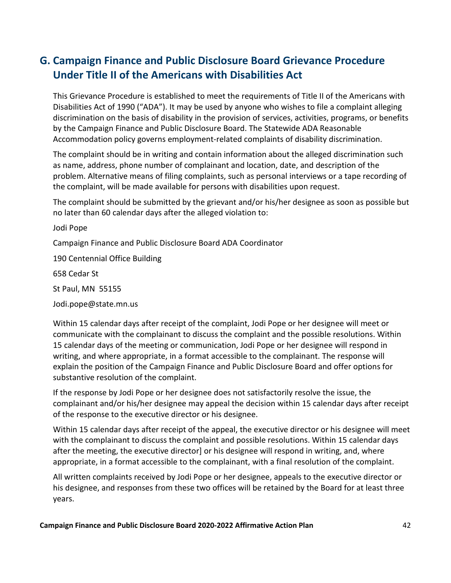### <span id="page-43-0"></span>**G. Campaign Finance and Public Disclosure Board Grievance Procedure Under Title II of the Americans with Disabilities Act**

This Grievance Procedure is established to meet the requirements of Title II of the Americans with Disabilities Act of 1990 ("ADA"). It may be used by anyone who wishes to file a complaint alleging discrimination on the basis of disability in the provision of services, activities, programs, or benefits by the Campaign Finance and Public Disclosure Board. The Statewide ADA Reasonable Accommodation policy governs employment-related complaints of disability discrimination.

The complaint should be in writing and contain information about the alleged discrimination such as name, address, phone number of complainant and location, date, and description of the problem. Alternative means of filing complaints, such as personal interviews or a tape recording of the complaint, will be made available for persons with disabilities upon request.

The complaint should be submitted by the grievant and/or his/her designee as soon as possible but no later than 60 calendar days after the alleged violation to:

Jodi Pope

Campaign Finance and Public Disclosure Board ADA Coordinator

190 Centennial Office Building

658 Cedar St

St Paul, MN 55155

Jodi.pope@state.mn.us

Within 15 calendar days after receipt of the complaint, Jodi Pope or her designee will meet or communicate with the complainant to discuss the complaint and the possible resolutions. Within 15 calendar days of the meeting or communication, Jodi Pope or her designee will respond in writing, and where appropriate, in a format accessible to the complainant. The response will explain the position of the Campaign Finance and Public Disclosure Board and offer options for substantive resolution of the complaint.

If the response by Jodi Pope or her designee does not satisfactorily resolve the issue, the complainant and/or his/her designee may appeal the decision within 15 calendar days after receipt of the response to the executive director or his designee.

Within 15 calendar days after receipt of the appeal, the executive director or his designee will meet with the complainant to discuss the complaint and possible resolutions. Within 15 calendar days after the meeting, the executive director] or his designee will respond in writing, and, where appropriate, in a format accessible to the complainant, with a final resolution of the complaint.

All written complaints received by Jodi Pope or her designee, appeals to the executive director or his designee, and responses from these two offices will be retained by the Board for at least three years.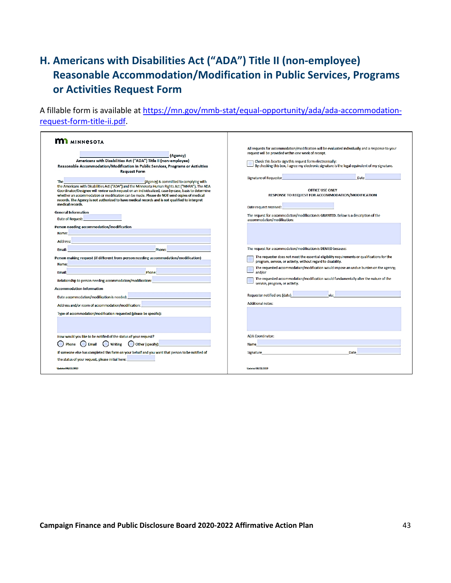## <span id="page-44-0"></span>**H. Americans with Disabilities Act ("ADA") Title II (non-employee) Reasonable Accommodation/Modification in Public Services, Programs or Activities Request Form**

A fillable form is available at [https://mn.gov/mmb-stat/equal-opportunity/ada/ada-accommodation](https://mn.gov/mmb-stat/equal-opportunity/ada/ada-accommodation-request-form-title-ii.pdf)[request-form-title-ii.pdf.](https://mn.gov/mmb-stat/equal-opportunity/ada/ada-accommodation-request-form-title-ii.pdf)

| <b>M</b> MINNESOTA<br>and the company of the company of<br>(Agency)<br>Americans with Disabilities Act ("ADA") Title II (non-employee)<br>Reasonable Accommodation/Modification in Public Services, Programs or Activities<br><b>Request Form</b><br>Example 2011 1999 The Communication of Agency) is committed to complying with<br><b>The</b><br>the Americans with Disabilities Act ("ADA") and the Minnesota Human Rights Act ("MHRA"). The ADA<br>Coordinator/Designee will review each request on an individualized, case-by-case, basis to determine<br>whether an accommodation or modification can be made. Please do NOT send copies of medical<br>records. The Agency is not authorized to have medical records and is not qualified to interpret<br>medical records.<br><b>General Information</b><br>Date of Request: <b>District Service Service</b><br>Person needing accommodation/modification<br>Name: Name: Name: Name: Name: Name: Name: Name: Name: Name: Name: Name: Name: Name: Name: Name: Name: Name: Name: Name: Name: Name: Name: Name: Name: Name: Name: Name: Name: Name: Name: Name: Name: Name: Name: Name: Name:                                                                                                                                                                                                                   | All requests for accommodation/modification will be evaluated individually and a response to your<br>request will be provided within one week of receipt.<br>Check this box to sign this request form electronically:<br>By checking this box, I agree my electronic signature is the legal equivalent of my signature.<br>Signature of Requestor and the contract of the contract of the contract of the contract of the contract of the<br>Date<br><b>OFFICE USE ONLY</b><br>RESPONSE TO REQUEST FOR ACCOMMODATION/MODIFICATION<br>Date request received: <b>with a set of the set of the set of the set of the set of the set of the set of the set of the set of the set of the set of the set of the set of the set of the set of the set of the set of the set </b><br>The request for accommodation/modification is GRANTED. Below is a description of the<br>accommodation/modification: |
|---------------------------------------------------------------------------------------------------------------------------------------------------------------------------------------------------------------------------------------------------------------------------------------------------------------------------------------------------------------------------------------------------------------------------------------------------------------------------------------------------------------------------------------------------------------------------------------------------------------------------------------------------------------------------------------------------------------------------------------------------------------------------------------------------------------------------------------------------------------------------------------------------------------------------------------------------------------------------------------------------------------------------------------------------------------------------------------------------------------------------------------------------------------------------------------------------------------------------------------------------------------------------------------------------------------------------------------------------------------------|--------------------------------------------------------------------------------------------------------------------------------------------------------------------------------------------------------------------------------------------------------------------------------------------------------------------------------------------------------------------------------------------------------------------------------------------------------------------------------------------------------------------------------------------------------------------------------------------------------------------------------------------------------------------------------------------------------------------------------------------------------------------------------------------------------------------------------------------------------------------------------------------------|
| Address: <b>Address: Address: Address: Address: Address: Address: Address: Address: Address: Address: Address: Address: Address: Address: Address: Address: Address: Address: Address: Address: Address: Address: Address: A</b><br><u>Phone: Andrew Maria Maria Maria Maria Maria Maria Maria Maria Maria Maria Maria Maria Maria Maria Maria Maria M</u><br>Email:<br>Person making request (if different from person needing accommodation/modification)<br>Name:<br><b>Email:</b> Phone: Phone: Phone: Phone: Phone: Phone: Phone: Phone: Phone: Phone: Phone: Phone: Phone: Phone: Phone: Phone: Phone: Phone: Phone: Phone: Phone: Phone: Phone: Phone: Phone: Phone: Phone: Phone: Phone: Phone: Pho<br>Relationship to person needing accommodation/modification:<br><b>Accommodation Information</b><br>Date accommodation/modification is needed: <b>with a contract of the contract of the contract of the contract of the contract of the contract of the contract of the contract of the contract of the contract of the contract of</b><br>Address and/or room of accommodation/modification: <b>with a state of the state of the state of the state of the state of the state of the state of the state of the state of the state of the state of the state of the state o</b><br>Type of accommodation/modification requested (please be specific): | The request for accommodation/modification is DENIED because:<br>The requester does not meet the essential eligibility requirements or qualifications for the<br>program, service, or activity, without regard to disability.<br>The requested accommodation/modification would impose an undue burden on the agency;<br>and/or<br>The requested accommodation/modification would fundamentally alter the nature of the<br>service, program, or activity.<br>Requester notified on: (date)<br>via:<br><b>Additional notes:</b>                                                                                                                                                                                                                                                                                                                                                                   |
| How would you like to be notified of the status of your request?<br>$\bigcirc$ Writing $\bigcirc$ Other (specify):<br>Phone<br>$\Box$ Email<br>If someone else has completed this form on your behalf and you want that person to be notified of<br>the status of your request, please initial here: <b>with the status</b><br><b>Undated 08/21/2019</b>                                                                                                                                                                                                                                                                                                                                                                                                                                                                                                                                                                                                                                                                                                                                                                                                                                                                                                                                                                                                            | <b>ADA Coordinator:</b><br>a sa kabilang sa kalawang sa kalawang sa kalawang sa kalawang sa kalawang sa kalawang sa kalawang sa kalawang<br>Mga kalawang sa kalawang sa kalawang sa kalawang sa kalawang sa kalawang sa kalawang sa kalawang sa kalawang s<br><b>Name</b><br>Signature and the contract of the contract of the contract of the contract of the contract of the contract of<br>Date<br><b>Undated 08/21/2019</b>                                                                                                                                                                                                                                                                                                                                                                                                                                                                  |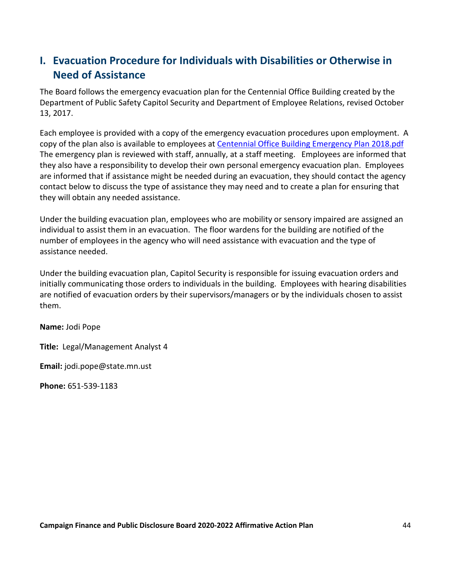### <span id="page-45-0"></span>**I. Evacuation Procedure for Individuals with Disabilities or Otherwise in Need of Assistance**

The Board follows the emergency evacuation plan for the Centennial Office Building created by the Department of Public Safety Capitol Security and Department of Employee Relations, revised October 13, 2017.

Each employee is provided with a copy of the emergency evacuation procedures upon employment. A copy of the plan also is available to employees at [Centennial Office Building Emergency Plan 2018.pdf](file://cfb-prod-data/Data/Administration/Policies%20and%20Procedures/Affirmative%20Action/centennialemergencyplan%202018.pdf)  The emergency plan is reviewed with staff, annually, at a staff meeting. Employees are informed that they also have a responsibility to develop their own personal emergency evacuation plan. Employees are informed that if assistance might be needed during an evacuation, they should contact the agency contact below to discuss the type of assistance they may need and to create a plan for ensuring that they will obtain any needed assistance.

Under the building evacuation plan, employees who are mobility or sensory impaired are assigned an individual to assist them in an evacuation. The floor wardens for the building are notified of the number of employees in the agency who will need assistance with evacuation and the type of assistance needed.

Under the building evacuation plan, Capitol Security is responsible for issuing evacuation orders and initially communicating those orders to individuals in the building. Employees with hearing disabilities are notified of evacuation orders by their supervisors/managers or by the individuals chosen to assist them.

**Name:** Jodi Pope

**Title:** Legal/Management Analyst 4

**Email:** jodi.pope@state.mn.ust

**Phone:** 651-539-1183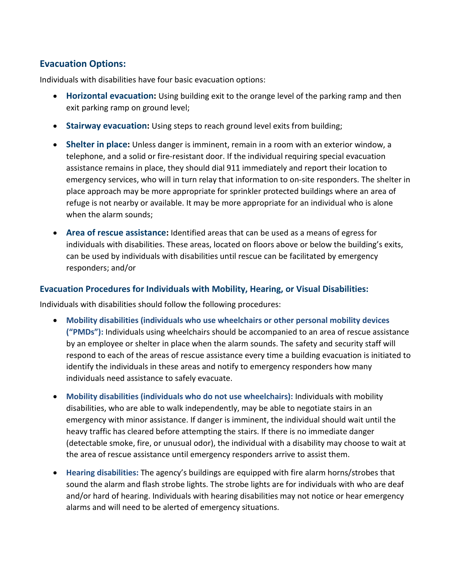#### **Evacuation Options:**

Individuals with disabilities have four basic evacuation options:

- **Horizontal evacuation:** Using building exit to the orange level of the parking ramp and then exit parking ramp on ground level;
- **Stairway evacuation:** Using steps to reach ground level exits from building;
- **Shelter in place:** Unless danger is imminent, remain in a room with an exterior window, a telephone, and a solid or fire-resistant door. If the individual requiring special evacuation assistance remains in place, they should dial 911 immediately and report their location to emergency services, who will in turn relay that information to on-site responders. The shelter in place approach may be more appropriate for sprinkler protected buildings where an area of refuge is not nearby or available. It may be more appropriate for an individual who is alone when the alarm sounds;
- **Area of rescue assistance:** Identified areas that can be used as a means of egress for individuals with disabilities. These areas, located on floors above or below the building's exits, can be used by individuals with disabilities until rescue can be facilitated by emergency responders; and/or

#### **Evacuation Procedures for Individuals with Mobility, Hearing, or Visual Disabilities:**

Individuals with disabilities should follow the following procedures:

- **Mobility disabilities (individuals who use wheelchairs or other personal mobility devices ("PMDs"):** Individuals using wheelchairs should be accompanied to an area of rescue assistance by an employee or shelter in place when the alarm sounds. The safety and security staff will respond to each of the areas of rescue assistance every time a building evacuation is initiated to identify the individuals in these areas and notify to emergency responders how many individuals need assistance to safely evacuate.
- **Mobility disabilities (individuals who do not use wheelchairs):** Individuals with mobility disabilities, who are able to walk independently, may be able to negotiate stairs in an emergency with minor assistance. If danger is imminent, the individual should wait until the heavy traffic has cleared before attempting the stairs. If there is no immediate danger (detectable smoke, fire, or unusual odor), the individual with a disability may choose to wait at the area of rescue assistance until emergency responders arrive to assist them.
- **Hearing disabilities:** The agency's buildings are equipped with fire alarm horns/strobes that sound the alarm and flash strobe lights. The strobe lights are for individuals with who are deaf and/or hard of hearing. Individuals with hearing disabilities may not notice or hear emergency alarms and will need to be alerted of emergency situations.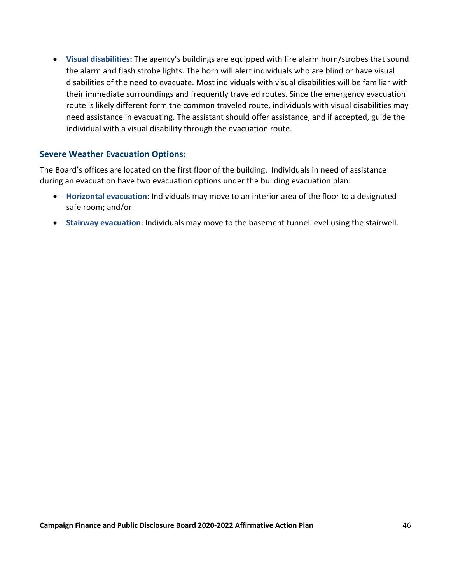• **Visual disabilities:** The agency's buildings are equipped with fire alarm horn/strobes that sound the alarm and flash strobe lights. The horn will alert individuals who are blind or have visual disabilities of the need to evacuate. Most individuals with visual disabilities will be familiar with their immediate surroundings and frequently traveled routes. Since the emergency evacuation route is likely different form the common traveled route, individuals with visual disabilities may need assistance in evacuating. The assistant should offer assistance, and if accepted, guide the individual with a visual disability through the evacuation route.

#### **Severe Weather Evacuation Options:**

The Board's offices are located on the first floor of the building. Individuals in need of assistance during an evacuation have two evacuation options under the building evacuation plan:

- **Horizontal evacuation**: Individuals may move to an interior area of the floor to a designated safe room; and/or
- **Stairway evacuation**: Individuals may move to the basement tunnel level using the stairwell.